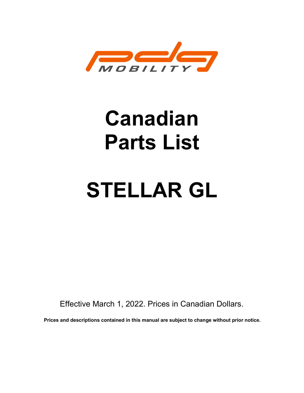

# Canadian Parts List

# STELLAR GL

Effective March 1, 2022. Prices in Canadian Dollars.

Prices and descriptions contained in this manual are subject to change without prior notice.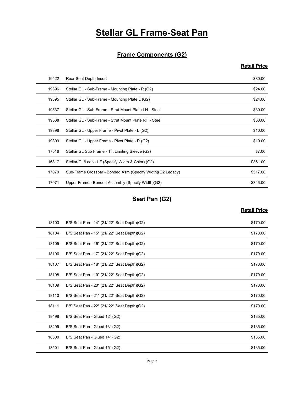# **Stellar GL Frame-Seat Pan**

#### Frame Components (G2)

#### Retail Price

|       | <b>Stellar GL Frame-Seat Pan</b>                           |                     |
|-------|------------------------------------------------------------|---------------------|
|       |                                                            |                     |
|       | <b>Frame Components (G2)</b>                               |                     |
|       |                                                            | <b>Retail Price</b> |
| 19522 | Rear Seat Depth Insert                                     | \$80.00             |
| 19396 | Stellar GL - Sub-Frame - Mounting Plate - R (G2)           | \$24.00             |
| 19395 | Stellar GL - Sub-Frame - Mounting Plate L (G2)             | \$24.00             |
| 19537 | Stellar GL - Sub-Frame - Strut Mount Plate LH - Steel      | \$30.00             |
| 19538 | Stellar GL - Sub-Frame - Strut Mount Plate RH - Steel      | \$30.00             |
| 19398 | Stellar GL - Upper Frame - Pivot Plate - L (G2)            | \$10.00             |
| 19399 | Stellar GL - Upper Frame - Pivot Plate - R (G2)            | \$10.00             |
| 17516 | Stellar GL Sub Frame - Tilt Limiting Sleeve (G2)           | \$7.00              |
| 16817 | Stellar/GL/Leap - LF (Specify Width & Color) (G2)          | \$361.00            |
| 17070 | Sub-Frame Crossbar - Bonded Asm (Specify Width)(G2 Legacy) | \$517.00            |
| 17071 | Upper Frame - Bonded Assembly (Specify Width)(G2)          | \$346.00            |
|       | Seat Pan (G2)                                              |                     |
|       |                                                            | <b>Retail Price</b> |
| 18103 | B/S Seat Pan - 14" (21/ 22" Seat Depth)(G2)                | \$170.00            |
| 18104 | B/S Seat Pan - 15" (21/ 22" Seat Depth)(G2)                | \$170.00            |
| 18105 | B/S Seat Pan - 16" (21/ 22" Seat Depth)(G2)                | \$170.00            |
| 18106 | B/S Seat Pan - 17" (21/ 22" Seat Depth)(G2)                | \$170.00            |
| 18107 | B/S Seat Pan - 18" (21/22" Seat Depth)(G2)                 | \$170.00            |
| 18108 | B/S Seat Pan - 19" (21/ 22" Seat Denth)(G2)                | \$170.00            |

#### Seat Pan (G2)

| 19398 | Stellar GL - Upper Frame - Pivot Plate - L (G2)            | \$10.00             |
|-------|------------------------------------------------------------|---------------------|
| 19399 | Stellar GL - Upper Frame - Pivot Plate - R (G2)            | \$10.00             |
| 17516 | Stellar GL Sub Frame - Tilt Limiting Sleeve (G2)           | \$7.00              |
| 16817 | Stellar/GL/Leap - LF (Specify Width & Color) (G2)          | \$361.00            |
| 17070 | Sub-Frame Crossbar - Bonded Asm (Specify Width)(G2 Legacy) | \$517.00            |
| 17071 | Upper Frame - Bonded Assembly (Specify Width)(G2)          | \$346.00            |
|       |                                                            |                     |
|       | Seat Pan (G2)                                              |                     |
|       |                                                            | <b>Retail Price</b> |
| 18103 | B/S Seat Pan - 14" (21/ 22" Seat Depth)(G2)                | \$170.00            |
| 18104 | B/S Seat Pan - 15" (21/ 22" Seat Depth)(G2)                | \$170.00            |
| 18105 | B/S Seat Pan - 16" (21/ 22" Seat Depth)(G2)                | \$170.00            |
| 18106 | B/S Seat Pan - 17" (21/ 22" Seat Depth)(G2)                | \$170.00            |
| 18107 | B/S Seat Pan - 18" (21/22" Seat Depth)(G2)                 | \$170.00            |
| 18108 | B/S Seat Pan - 19" (21/ 22" Seat Depth)(G2)                | \$170.00            |
| 18109 | B/S Seat Pan - 20" (21/22" Seat Depth)(G2)                 | \$170.00            |
| 18110 | B/S Seat Pan - 21" (21/ 22" Seat Depth)(G2)                | \$170.00            |
| 18111 | B/S Seat Pan - 22" (21/22" Seat Depth)(G2)                 | \$170.00            |
| 18498 | B/S Seat Pan - Glued 12" (G2)                              | \$135.00            |
|       | B/S Seat Pan - Glued 13" (G2)                              | \$135.00            |
| 18499 |                                                            |                     |
| 18500 | B/S Seat Pan - Glued 14" (G2)                              | \$135.00            |
| 18501 | B/S Seat Pan - Glued 15" (G2)                              | \$135.00            |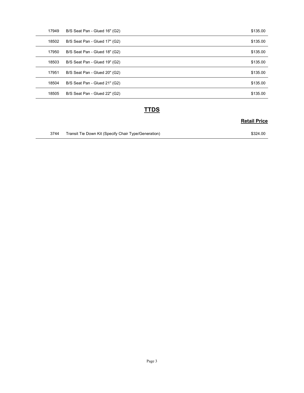| 17949 | B/S Seat Pan - Glued 16" (G2) | \$135.00            |
|-------|-------------------------------|---------------------|
| 18502 | B/S Seat Pan - Glued 17" (G2) | \$135.00            |
| 17950 | B/S Seat Pan - Glued 18" (G2) | \$135.00            |
| 18503 | B/S Seat Pan - Glued 19" (G2) | \$135.00            |
| 17951 | B/S Seat Pan - Glued 20" (G2) | \$135.00            |
|       | B/S Seat Pan - Glued 21" (G2) | \$135.00            |
| 18504 |                               |                     |
| 18505 | B/S Seat Pan - Glued 22" (G2) | \$135.00            |
|       | <b>TTDS</b>                   |                     |
|       |                               | <b>Retail Price</b> |

#### **TTDS**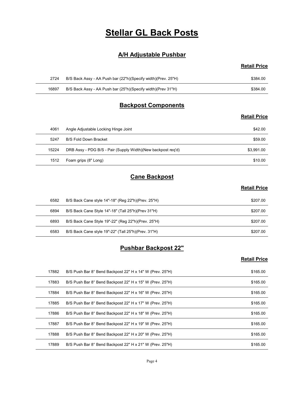## Stellar GL Back Posts

#### A/H Adjustable Pushbar

#### Retail Price

| <b>Stellar GL Back Posts</b>                                  |                     |  |
|---------------------------------------------------------------|---------------------|--|
| <b>A/H Adjustable Pushbar</b>                                 |                     |  |
|                                                               | <b>Retail Price</b> |  |
| B/S Back Assy - AA Push bar (22"h)(Specify width)(Prev. 25"H) | \$384.00            |  |
| B/S Back Assy - AA Push bar (25"h)(Specify width)(Prev 31"H)  | \$384.00            |  |
| <b>Backpost Components</b>                                    |                     |  |
|                                                               |                     |  |
|                                                               |                     |  |

#### Backpost Components

#### Retail Price

|       | <b>Stellar GL Back Posts</b>                                  |                     |
|-------|---------------------------------------------------------------|---------------------|
|       | <b>A/H Adjustable Pushbar</b>                                 |                     |
|       |                                                               | <b>Retail Price</b> |
| 2724  | B/S Back Assy - AA Push bar (22"h)(Specify width)(Prev. 25"H) | \$384.00            |
| 16897 | B/S Back Assy - AA Push bar (25"h)(Specify width)(Prev 31"H)  | \$384.00            |
|       | <b>Backpost Components</b>                                    |                     |
|       |                                                               | <b>Retail Price</b> |
| 4061  | Angle Adjustable Locking Hinge Joint                          | \$42.00             |
| 5247  | <b>B/S Fold Down Bracket</b>                                  | \$59.00             |
| 15224 | DRB Assy - PDG B/S - Pair (Supply Width)(New backpost req'd)  | \$3,991.00          |
| 1512  | Foam grips (8" Long)                                          | \$10.00             |
|       | <b>Cane Backpost</b>                                          |                     |
|       |                                                               | <b>Retail Price</b> |
| 6582  | B/S Back Cane style 14"-18" (Reg 22"h)(Prev. 25"H)            | \$207.00            |
| 6894  | B/S Back Cane Style 14"-18" (Tall 25"h)(Prev 31"H)            | \$207.00            |
| 6893  | B/S Back Cane Style 19"-22" (Reg 22"h)(Prev. 25"H)            | \$207.00            |
| 6583  | B/S Back Cane style 19"-22" (Tall 25"h)(Prev. 31"H)           | \$207.00            |
|       | <b>Pushbar Backpost 22"</b>                                   |                     |
|       |                                                               | <b>Retail Price</b> |

#### Cane Backpost

#### Retail Price

| 15224 | DRB Assy - PDG B/S - Pair (Supply Width)(New backpost req'd) | \$3,991.00          |
|-------|--------------------------------------------------------------|---------------------|
| 1512  | Foam grips (8" Long)                                         | \$10.00             |
|       | <b>Cane Backpost</b>                                         |                     |
|       |                                                              | <b>Retail Price</b> |
| 6582  | B/S Back Cane style 14"-18" (Reg 22"h)(Prev. 25"H)           | \$207.00            |
| 6894  | B/S Back Cane Style 14"-18" (Tall 25"h)(Prev 31"H)           | \$207.00            |
| 6893  | B/S Back Cane Style 19"-22" (Reg 22"h)(Prev. 25"H)           | \$207.00            |
| 6583  | B/S Back Cane style 19"-22" (Tall 25"h)(Prev. 31"H)          | \$207.00            |
|       | <b>Pushbar Backpost 22"</b>                                  |                     |
|       |                                                              | <b>Retail Price</b> |
| 17882 | B/S Push Bar 8° Bend Backpost 22" H x 14" W (Prev. 25"H)     | \$165.00            |
| 17883 | B/S Push Bar 8° Bend Backpost 22" H x 15" W (Prev. 25"H)     | \$165.00            |
| 17884 | B/S Push Bar 8° Bend Backpost 22" H x 16" W (Prev. 25"H)     | \$165.00            |
| 17885 | B/S Push Bar 8° Bend Backnost 22" H x 17" W (Prev. 25"H)     | \$16500             |

#### Pushbar Backpost 22"

|       | Foam grips (8" Long)                                     | \$10.00             |
|-------|----------------------------------------------------------|---------------------|
|       | <b>Cane Backpost</b>                                     |                     |
|       |                                                          | <b>Retail Price</b> |
| 6582  | B/S Back Cane style 14"-18" (Reg 22"h)(Prev. 25"H)       | \$207.00            |
| 6894  | B/S Back Cane Style 14"-18" (Tall 25"h)(Prev 31"H)       | \$207.00            |
| 6893  | B/S Back Cane Style 19"-22" (Reg 22"h)(Prev. 25"H)       | \$207.00            |
| 6583  | B/S Back Cane style 19"-22" (Tall 25"h)(Prev. 31"H)      | \$207.00            |
|       | <b>Pushbar Backpost 22"</b>                              |                     |
|       |                                                          | <b>Retail Price</b> |
| 17882 | B/S Push Bar 8° Bend Backpost 22" H x 14" W (Prev. 25"H) | \$165.00            |
| 17883 | B/S Push Bar 8° Bend Backpost 22" H x 15" W (Prev. 25"H) | \$165.00            |
| 17884 | B/S Push Bar 8° Bend Backpost 22" H x 16" W (Prev. 25"H) | \$165.00            |
|       | B/S Push Bar 8° Bend Backpost 22" H x 17" W (Prev. 25"H) | \$165.00            |
| 17885 |                                                          |                     |
| 17886 | B/S Push Bar 8° Bend Backpost 22" H x 18" W (Prev. 25"H) | \$165.00            |
| 17887 | B/S Push Bar 8° Bend Backpost 22" H x 19" W (Prev. 25"H) | \$165.00            |
| 17888 | B/S Push Bar 8° Bend Backpost 22" H x 20" W (Prev. 25"H) | \$165.00            |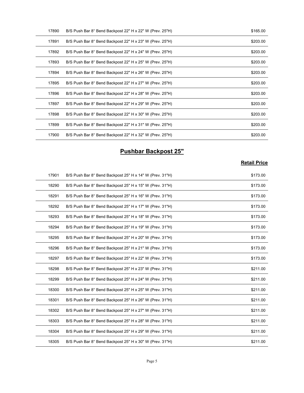| 17890 | B/S Push Bar 8° Bend Backpost 22" H x 22" W (Prev. 25"H) | \$165.00            |
|-------|----------------------------------------------------------|---------------------|
| 17891 | B/S Push Bar 8° Bend Backpost 22" H x 23" W (Prev. 25"H) | \$203.00            |
| 17892 | B/S Push Bar 8° Bend Backpost 22" H x 24" W (Prev. 25"H) | \$203.00            |
| 17893 | B/S Push Bar 8° Bend Backpost 22" H x 25" W (Prev. 25"H) | \$203.00            |
| 17894 | B/S Push Bar 8° Bend Backpost 22" H x 26" W (Prev. 25"H) | \$203.00            |
| 17895 | B/S Push Bar 8° Bend Backpost 22" H x 27" W (Prev. 25"H) | \$203.00            |
| 17896 | B/S Push Bar 8° Bend Backpost 22" H x 28" W (Prev. 25"H) | \$203.00            |
| 17897 | B/S Push Bar 8° Bend Backpost 22" H x 29" W (Prev. 25"H) | \$203.00            |
| 17898 | B/S Push Bar 8° Bend Backpost 22" H x 30" W (Prev. 25"H) | \$203.00            |
| 17899 | B/S Push Bar 8° Bend Backpost 22" H x 31" W (Prev. 25"H) | \$203.00            |
| 17900 | B/S Push Bar 8° Bend Backpost 22" H x 32" W (Prev. 25"H) | \$203.00            |
|       | <b>Pushbar Backpost 25"</b>                              |                     |
|       |                                                          | <b>Retail Price</b> |
| 17901 | B/S Push Bar 8° Bend Backpost 25" H x 14" W (Prev. 31"H) | \$173.00            |
| 18290 | B/S Push Bar 8° Bend Backpost 25" H x 15" W (Prev. 31"H) | \$173.00            |
| 18291 | B/S Push Bar 8° Bend Backpost 25" H x 16" W (Prev. 31"H) | \$173.00            |
| 18292 | B/S Push Bar 8° Bend Backpost 25" H x 17" W (Prev. 31"H) | \$173.00            |
| 18293 | B/S Push Bar 8° Bend Backpost 25" H x 18" W (Prev. 31"H) | \$173.00            |
|       |                                                          |                     |

#### Pushbar Backpost 25"

| 17895 | B/S Push Bar 8° Bend Backpost 22" H x 27" W (Prev. 25"H) | \$203.00            |
|-------|----------------------------------------------------------|---------------------|
| 17896 | B/S Push Bar 8° Bend Backpost 22" H x 28" W (Prev. 25"H) | \$203.00            |
| 17897 | B/S Push Bar 8° Bend Backpost 22" H x 29" W (Prev. 25"H) | \$203.00            |
| 17898 | B/S Push Bar 8° Bend Backpost 22" H x 30" W (Prev. 25"H) | \$203.00            |
| 17899 | B/S Push Bar 8° Bend Backpost 22" H x 31" W (Prev. 25"H) | \$203.00            |
| 17900 | B/S Push Bar 8° Bend Backpost 22" H x 32" W (Prev. 25"H) | \$203.00            |
|       |                                                          |                     |
|       | <b>Pushbar Backpost 25"</b>                              |                     |
|       |                                                          | <b>Retail Price</b> |
| 17901 | B/S Push Bar 8° Bend Backpost 25" H x 14" W (Prev. 31"H) | \$173.00            |
| 18290 | B/S Push Bar 8° Bend Backpost 25" H x 15" W (Prev. 31"H) | \$173.00            |
| 18291 | B/S Push Bar 8° Bend Backpost 25" H x 16" W (Prev. 31"H) | \$173.00            |
| 18292 | B/S Push Bar 8° Bend Backpost 25" H x 17" W (Prev. 31"H) | \$173.00            |
| 18293 | B/S Push Bar 8° Bend Backpost 25" H x 18" W (Prev. 31"H) | \$173.00            |
| 18294 | B/S Push Bar 8° Bend Backpost 25" H x 19" W (Prev. 31"H) | \$173.00            |
| 18295 | B/S Push Bar 8° Bend Backpost 25" H x 20" W (Prev. 31"H) | \$173.00            |
| 18296 | B/S Push Bar 8° Bend Backpost 25" H x 21" W (Prev. 31"H) | \$173.00            |
| 18297 | B/S Push Bar 8° Bend Backpost 25" H x 22" W (Prev. 31"H) | \$173.00            |
| 18298 | B/S Push Bar 8° Bend Backpost 25" H x 23" W (Prev. 31"H) | \$211.00            |
| 18299 | B/S Push Bar 8° Bend Backpost 25" H x 24" W (Prev. 31"H) | \$211.00            |
| 18300 | B/S Push Bar 8° Bend Backpost 25" H x 25" W (Prev. 31"H) | \$211.00            |
| 18301 | B/S Push Bar 8° Bend Backpost 25" H x 26" W (Prev. 31"H) | \$211.00            |
| 18302 | B/S Push Bar 8° Bend Backpost 25" H x 27" W (Prev. 31"H) | \$211.00            |
| 18303 | B/S Push Bar 8° Bend Backpost 25" H x 28" W (Prev. 31"H) | \$211.00            |
| 18304 | B/S Push Bar 8° Bend Backpost 25" H x 29" W (Prev. 31"H) | \$211.00            |
| 18305 | B/S Push Bar 8° Bend Backpost 25" H x 30" W (Prev. 31"H) | \$211.00            |
|       |                                                          |                     |
|       | Page 5                                                   |                     |
|       |                                                          |                     |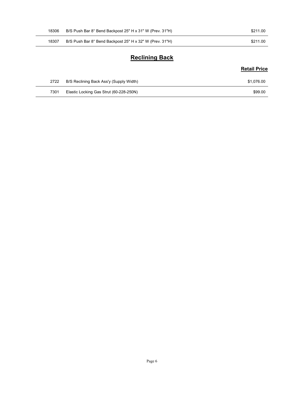| 18306 | B/S Push Bar 8° Bend Backpost 25" H x 31" W (Prev. 31"H) | \$211.00            |
|-------|----------------------------------------------------------|---------------------|
| 18307 | B/S Push Bar 8° Bend Backpost 25" H x 32" W (Prev. 31"H) | \$211.00            |
|       | <b>Reclining Back</b>                                    |                     |
|       |                                                          | <b>Retail Price</b> |
| 2722  | B/S Reclining Back Ass'y (Supply Width)                  | \$1,076.00          |

#### Reclining Back

#### Retail Price

| 2722 | B/S Reclining Back Ass'y (Supply Width) | \$1.076.00 |
|------|-----------------------------------------|------------|
| 7301 | Elastic Locking Gas Strut (60-228-250N) | \$99.00    |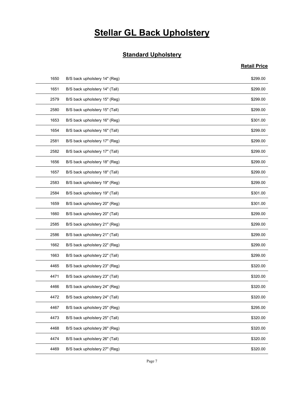# **Stellar GL Back Upholstery**

#### **Standard Upholstery**

|      | <b>Stellar GL Back Upholstery</b> |                     |
|------|-----------------------------------|---------------------|
|      |                                   |                     |
|      | <b>Standard Upholstery</b>        |                     |
|      |                                   | <b>Retail Price</b> |
| 1650 | B/S back upholstery 14" (Reg)     | \$299.00            |
| 1651 | B/S back upholstery 14" (Tall)    | \$299.00            |
| 2579 | B/S back upholstery 15" (Reg)     | \$299.00            |
| 2580 | B/S back upholstery 15" (Tall)    | \$299.00            |
| 1653 | B/S back upholstery 16" (Reg)     | \$301.00            |
| 1654 | B/S back upholstery 16" (Tall)    | \$299.00            |
| 2581 | B/S back upholstery 17" (Reg)     | \$299.00            |
| 2582 | B/S back upholstery 17" (Tall)    | \$299.00            |
| 1656 | B/S back upholstery 18" (Reg)     | \$299.00            |
| 1657 | B/S back upholstery 18" (Tall)    | \$299.00            |
| 2583 | B/S back upholstery 19" (Reg)     | \$299.00            |
| 2584 | B/S back upholstery 19" (Tall)    | \$301.00            |
| 1659 | B/S back upholstery 20" (Reg)     | \$301.00            |
| 1660 | B/S back upholstery 20" (Tall)    | \$299.00            |
| 2585 | B/S back upholstery 21" (Reg)     | \$299.00            |
| 2586 | B/S back upholstery 21" (Tall)    | \$299.00            |
| 1662 | B/S back upholstery 22" (Reg)     | \$299.00            |
| 1663 | B/S back upholstery 22" (Tall)    | \$299.00            |
| 4465 | B/S back upholstery 23" (Reg)     | \$320.00            |
| 4471 | B/S back upholstery 23" (Tall)    | \$320.00            |
| 4466 | B/S back upholstery 24" (Reg)     | \$320.00            |
| 4472 | B/S back upholstery 24" (Tall)    | \$320.00            |
| 4467 | B/S back upholstery 25" (Reg)     | \$295.00            |
| 4473 | B/S back upholstery 25" (Tall)    | \$320.00            |
| 4468 | B/S back upholstery 26" (Reg)     | \$320.00            |
| 4474 | B/S back upholstery 26" (Tall)    | \$320.00            |
|      | B/S back upholstery 27" (Reg)     | \$320.00            |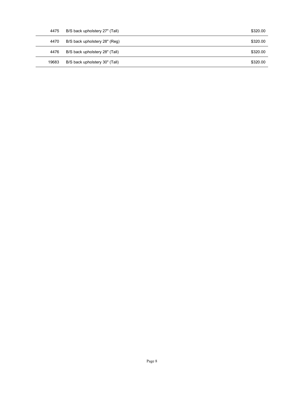| 4475  | B/S back upholstery 27" (Tall) |  | \$320.00 |
|-------|--------------------------------|--|----------|
| 4470  | B/S back upholstery 28" (Reg)  |  | \$320.00 |
| 4476  | B/S back upholstery 28" (Tall) |  | \$320.00 |
| 19683 | B/S back upholstery 30" (Tall) |  | \$320.00 |
|       |                                |  |          |
|       |                                |  |          |
|       |                                |  |          |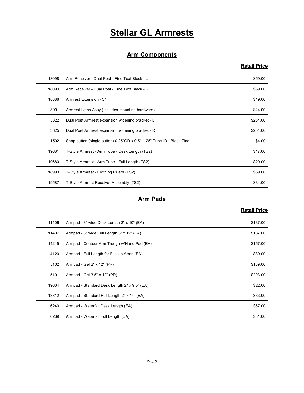# Stellar GL Armrests

#### Arm Components

#### Retail Price

|       | <b>Stellar GL Armrests</b>                                            |                     |
|-------|-----------------------------------------------------------------------|---------------------|
|       |                                                                       |                     |
|       | <b>Arm Components</b>                                                 |                     |
|       |                                                                       | <b>Retail Price</b> |
| 18098 | Arm Receiver - Dual Post - Fine Text Black - L                        | \$59.00             |
| 18099 | Arm Receiver - Dual Post - Fine Text Black - R                        | \$59.00             |
| 18886 | Armrest Extension - 3"                                                | \$19.00             |
| 3991  | Armrest Latch Assy (Includes mounting hardware)                       | \$24.00             |
| 3322  | Dual Post Armrest expansion widening bracket - L                      | \$254.00            |
| 3325  | Dual Post Armrest expansion widening bracket - R                      | \$254.00            |
| 1502  | Snap button (single button) 0.25"OD x 0.5"-1.25" Tube ID - Black Zinc | \$4.00              |
| 19681 | T-Style Armrest - Arm Tube - Desk Length (TS2)                        | \$17.00             |
| 19680 | T-Style Armrest - Arm Tube - Full Length (TS2)                        | \$20.00             |
| 18993 | T-Style Armrest - Clothing Guard (TS2)                                | \$59.00             |
| 19587 | T-Style Armrest Receiver Assembly (TS2)                               | \$34.00             |
|       | <b>Arm Pads</b>                                                       |                     |
|       |                                                                       | <b>Retail Price</b> |
| 11406 | Armpad - 3" wide Desk Length 3" x 10" (EA)                            | \$137.00            |
| 11407 | Armpad - 3" wide Full Length 3" x 12" (EA)                            | \$137.00            |
| 14215 | Armpad - Contour Arm Trough w/Hand Pad (EA)                           | \$157.00            |
| 4120  | Armpad - Full Length for Flip Up Arms (EA)                            | \$39.00             |
| 5102  | Armpad - Gel 2" x 12" (PR)                                            | \$189.00            |
| 5101  | Armnad - Gel 3 5" x 12" (PR)                                          | \$203.00            |

#### Arm Pads

| 3325  | Dual Post Armrest expansion widening bracket - R                      | \$254.00            |
|-------|-----------------------------------------------------------------------|---------------------|
| 1502  | Snap button (single button) 0.25"OD x 0.5"-1.25" Tube ID - Black Zinc | \$4.00              |
| 19681 | T-Style Armrest - Arm Tube - Desk Length (TS2)                        | \$17.00             |
| 19680 | T-Style Armrest - Arm Tube - Full Length (TS2)                        | \$20.00             |
| 18993 | T-Style Armrest - Clothing Guard (TS2)                                | \$59.00             |
| 19587 | T-Style Armrest Receiver Assembly (TS2)                               | \$34.00             |
|       |                                                                       |                     |
|       | <b>Arm Pads</b>                                                       |                     |
|       |                                                                       | <b>Retail Price</b> |
| 11406 | Armpad - 3" wide Desk Length 3" x 10" (EA)                            | \$137.00            |
| 11407 | Armpad - 3" wide Full Length 3" x 12" (EA)                            | \$137.00            |
| 14215 | Armpad - Contour Arm Trough w/Hand Pad (EA)                           | \$157.00            |
| 4120  | Armpad - Full Length for Flip Up Arms (EA)                            | \$39.00             |
| 5102  | Armpad - Gel 2" x 12" (PR)                                            | \$189.00            |
| 5101  | Armpad - Gel 3.5" x 12" (PR)                                          | \$203.00            |
| 19664 | Armpad - Standard Desk Length 2" x 9.5" (EA)                          | \$22.00             |
| 13812 | Armpad - Standard Full Length 2" x 14" (EA)                           | \$33.00             |
| 6240  | Armpad - Waterfall Desk Length (EA)                                   | \$67.00             |
| 6239  | Armpad - Waterfall Full Length (EA)                                   | \$81.00             |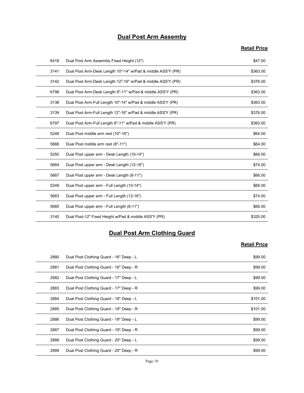#### Dual Post Arm Assemby

# Retail Price

|      | <b>Dual Post Arm Assemby</b>                                |                     |
|------|-------------------------------------------------------------|---------------------|
|      |                                                             | <b>Retail Price</b> |
| 6418 | Dual Post Arm Assembly Fixed Height (12")                   | \$47.00             |
| 3141 | Dual Post Arm-Desk Length 10"-14" w/Pad & middle ASS'Y (PR) | \$363.00            |
| 3142 | Dual Post Arm-Desk Length 12"-16" w/Pad & middle ASS'Y (PR) | \$376.00            |
| 6798 | Dual Post Arm-Desk Length 8"-11" w/Pad & middle ASS'Y (PR)  | \$363.00            |
| 3138 | Dual Post Arm-Full Length 10"-14" w/Pad & middle ASS'Y (PR) | \$363.00            |
| 3139 | Dual Post Arm-Full Length 12"-16" w/Pad & middle ASS'Y (PR) | \$376.00            |
| 6797 | Dual Post Arm-Full Length 8"-11" w/Pad & middle ASS'Y (PR)  | \$363.00            |
| 5248 | Dual Post middle arm rest (10"-16")                         | \$64.00             |
| 5666 | Dual Post middle arm rest (8"-11")                          | \$64.00             |
| 5250 | Dual Post upper arm - Desk Length (10-14")                  | \$66.00             |
| 5664 | Dual Post upper arm - Desk Length (12-16")                  | \$74.00             |
| 5667 | Dual Post upper arm - Desk Length (8-11")                   | \$66.00             |
| 5249 | Dual Post upper arm - Full Length (10-14")                  | \$66.00             |
| 5663 | Dual Post upper arm - Full Length (12-16")                  | \$74.00             |
| 5665 | Dual Post upper arm - Full Length (8-11")                   | \$66.00             |
| 3140 | Dual Post-12" Fixed Height w/Pad & middle ASS'Y (PR)        | \$325.00            |
|      | <b>Dual Post Arm Clothing Guard</b>                         |                     |
|      |                                                             | <b>Retail Price</b> |
| 2880 | Dual Post Clothing Guard - 16" Deep - L                     | \$99.00             |
| 2881 | Dual Post Clothing Guard - 16" Deep - R                     | \$99.00             |
| 2882 | Dual Post Clothing Guard - 17" Deep - L                     | \$99.00             |
| 2883 | Dual Post Clothing Guard - 17" Deep - R                     | \$99.00             |
| 2884 | Dual Post Clothing Guard - 18" Deep - L                     | \$101.00            |
| 2885 | Dual Post Clothing Guard - 18" Deep - R                     | \$10100             |

#### Dual Post Arm Clothing Guard

| 5664 | Dual Post upper arm - Desk Length (12-16")           | \$74.00             |
|------|------------------------------------------------------|---------------------|
| 5667 | Dual Post upper arm - Desk Length (8-11")            | \$66.00             |
| 5249 | Dual Post upper arm - Full Length (10-14")           | \$66.00             |
| 5663 | Dual Post upper arm - Full Length (12-16")           | \$74.00             |
| 5665 | Dual Post upper arm - Full Length (8-11")            | \$66.00             |
| 3140 | Dual Post-12" Fixed Height w/Pad & middle ASS'Y (PR) | \$325.00            |
|      | <b>Dual Post Arm Clothing Guard</b>                  | <b>Retail Price</b> |
| 2880 | Dual Post Clothing Guard - 16" Deep - L              | \$99.00             |
| 2881 | Dual Post Clothing Guard - 16" Deep - R              | \$99.00             |
| 2882 | Dual Post Clothing Guard - 17" Deep - L              | \$99.00             |
| 2883 | Dual Post Clothing Guard - 17" Deep - R              | \$99.00             |
| 2884 | Dual Post Clothing Guard - 18" Deep - L              | \$101.00            |
| 2885 | Dual Post Clothing Guard - 18" Deep - R              | \$101.00            |
| 2886 | Dual Post Clothing Guard - 19" Deep - L              | \$99.00             |
| 2887 | Dual Post Clothing Guard - 19" Deep - R              | \$99.00             |
| 2888 | Dual Post Clothing Guard - 20" Deep - L              | \$99.00             |
| 2889 | Dual Post Clothing Guard - 20" Deep - R              | \$99.00             |
|      | Page 10                                              |                     |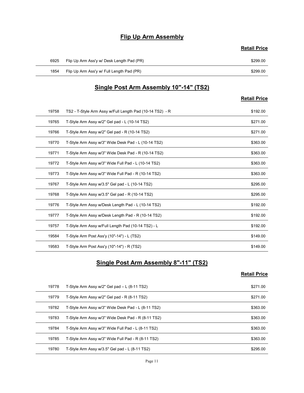#### Flip Up Arm Assembly

|      | <b>Flip Up Arm Assembly</b>               |                     |
|------|-------------------------------------------|---------------------|
|      |                                           | <b>Retail Price</b> |
| 6925 | Flip Up Arm Ass'y w/ Desk Length Pad (PR) | \$299.00            |
| 1854 | Flip Up Arm Ass'y w/ Full Length Pad (PR) | \$299.00            |
|      | Single Post Arm Assembly 10"-14" (TS2)    |                     |
|      |                                           |                     |
|      |                                           | <b>Retail Price</b> |

#### Single Post Arm Assembly 10"-14" (TS2)

#### Retail Price

|       | <b>Flip Up Arm Assembly</b>                              |                     |
|-------|----------------------------------------------------------|---------------------|
|       |                                                          | <b>Retail Price</b> |
| 6925  | Flip Up Arm Ass'y w/ Desk Length Pad (PR)                | \$299.00            |
| 1854  | Flip Up Arm Ass'y w/ Full Length Pad (PR)                | \$299.00            |
|       | Single Post Arm Assembly 10"-14" (TS2)                   |                     |
|       |                                                          | <b>Retail Price</b> |
| 19758 | TS2 - T-Style Arm Assy w/Full Length Pad (10-14 TS2) - R | \$192.00            |
| 19765 | T-Style Arm Assy w/2" Gel pad - L (10-14 TS2)            | \$271.00            |
| 19766 | T-Style Arm Assy w/2" Gel pad - R (10-14 TS2)            | \$271.00            |
| 19770 | T-Style Arm Assy w/3" Wide Desk Pad - L (10-14 TS2)      | \$363.00            |
| 19771 | T-Style Arm Assy w/3" Wide Desk Pad - R (10-14 TS2)      | \$363.00            |
| 19772 | T-Style Arm Assy w/3" Wide Full Pad - L (10-14 TS2)      | \$363.00            |
| 19773 | T-Style Arm Assy w/3" Wide Full Pad - R (10-14 TS2)      | \$363.00            |
| 19767 | T-Style Arm Assy w/3.5" Gel pad - L (10-14 TS2)          | \$295.00            |
| 19768 | T-Style Arm Assy w/3.5" Gel pad - R (10-14 TS2)          | \$295.00            |
| 19776 | T-Style Arm Assy w/Desk Length Pad - L (10-14 TS2)       | \$192.00            |
| 19777 | T-Style Arm Assy w/Desk Length Pad - R (10-14 TS2)       | \$192.00            |
| 19757 | T-Style Arm Assy w/Full Length Pad (10-14 TS2) - L       | \$192.00            |
| 19584 | T-Style Arm Post Ass'y (10"-14") - L (TS2)               | \$149.00            |
| 19583 | T-Style Arm Post Ass'y (10"-14") - R (TS2)               | \$149.00            |
|       | <b>Single Post Arm Assembly 8"-11" (TS2)</b>             |                     |
|       |                                                          | <b>Retail Price</b> |
| 19778 | T-Style Arm Assy w/2" Gel pad - L (8-11 TS2)             | \$271.00            |
| 19779 | T-Style Arm Assy w/2" Gel pad - R (8-11 TS2)             | \$271.00            |
| 19782 | T-Style Arm Assy w/3" Wide Desk Pad - L (8-11 TS2)       | \$363.00            |
| 19783 | T-Style Arm Assy w/3" Wide Desk Pad - R (8-11 TS2)       | \$363.00            |
| 19784 | T-Style Arm Assy w/3" Wide Full Pad - L (8-11 TS2)       | \$363.00            |
| 19785 | T-Style Arm Assy w/3" Wide Full Pad - R (8-11 TS2)       | \$363.00            |

#### Single Post Arm Assembly 8"-11" (TS2)

| 19768 | T-Style Arm Assy w/3.5" Gel pad - R (10-14 TS2)    | \$295.00            |
|-------|----------------------------------------------------|---------------------|
| 19776 | T-Style Arm Assy w/Desk Length Pad - L (10-14 TS2) | \$192.00            |
| 19777 | T-Style Arm Assy w/Desk Length Pad - R (10-14 TS2) | \$192.00            |
| 19757 | T-Style Arm Assy w/Full Length Pad (10-14 TS2) - L | \$192.00            |
| 19584 | T-Style Arm Post Ass'y (10"-14") - L (TS2)         | \$149.00            |
| 19583 | T-Style Arm Post Ass'y (10"-14") - R (TS2)         | \$149.00            |
|       | Single Post Arm Assembly 8"-11" (TS2)              | <b>Retail Price</b> |
| 19778 | T-Style Arm Assy w/2" Gel pad - L (8-11 TS2)       | \$271.00            |
| 19779 | T-Style Arm Assy w/2" Gel pad - R (8-11 TS2)       | \$271.00            |
| 19782 | T-Style Arm Assy w/3" Wide Desk Pad - L (8-11 TS2) | \$363.00            |
| 19783 | T-Style Arm Assy w/3" Wide Desk Pad - R (8-11 TS2) | \$363.00            |
| 19784 | T-Style Arm Assy w/3" Wide Full Pad - L (8-11 TS2) | \$363.00            |
|       |                                                    | \$363.00            |
| 19785 | T-Style Arm Assy w/3" Wide Full Pad - R (8-11 TS2) |                     |
| 19780 | T-Style Arm Assy w/3.5" Gel pad - L (8-11 TS2)     | \$295.00            |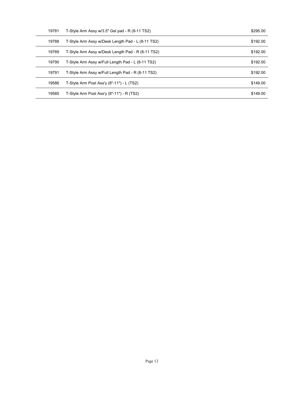| 19781 | T-Style Arm Assy w/3.5" Gel pad - R (8-11 TS2)    | \$295.00 |
|-------|---------------------------------------------------|----------|
| 19788 | T-Style Arm Assy w/Desk Length Pad - L (8-11 TS2) | \$192.00 |
| 19789 | T-Style Arm Assy w/Desk Length Pad - R (8-11 TS2) | \$192.00 |
| 19790 | T-Style Arm Assy w/Full Length Pad - L (8-11 TS2) | \$192.00 |
| 19791 | T-Style Arm Assy w/Full Length Pad - R (8-11 TS2) | \$192.00 |
| 19586 | T-Style Arm Post Ass'y (8"-11") - L (TS2)         | \$149.00 |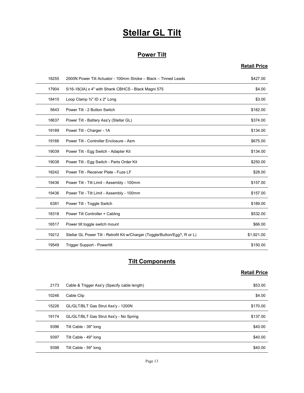# **Stellar GL Tilt**

#### Power Tilt

#### Retail Price

|       | <b>Stellar GL Tilt</b>                                                      |                     |
|-------|-----------------------------------------------------------------------------|---------------------|
|       |                                                                             |                     |
|       | <b>Power Tilt</b>                                                           |                     |
|       |                                                                             | <b>Retail Price</b> |
| 18255 | 2000N Power Tilt Actuator - 100mm Stroke - Black - Tinned Leads             | \$427.00            |
| 17904 | 5/16-18(3A) x 4" with Shank CBHCS - Black Magni 575                         | \$4.00              |
| 18410 | Loop Clamp 3/4" ID x 2" Long                                                | \$3.00              |
| 5643  | Power Tilt - 2 Button Switch                                                | \$182.00            |
| 18637 | Power Tilt - Battery Ass'y (Stellar GL)                                     | \$374.00            |
| 19189 | Power Tilt - Charger - 1A                                                   | \$134.00            |
| 19166 | Power Tilt - Controller Enclosure - Asm                                     | \$675.00            |
| 19039 | Power Tilt - Egg Switch - Adapter Kit                                       | \$134.00            |
| 19038 | Power Tilt - Egg Switch - Parts Order Kit                                   | \$250.00            |
| 18242 | Power Tilt - Receiver Plate - Fuze LF                                       | \$28.00             |
| 19436 | Power Tilt - Tilt Limit - Assembly - 100mm                                  | \$157.00            |
| 19436 | Power Tilt - Tilt Limit - Assembly - 100mm                                  | \$157.00            |
| 6381  | Power Tilt - Toggle Switch                                                  | \$189.00            |
| 18318 | Power Tilt Controller + Cabling                                             | \$532.00            |
| 16517 | Power tilt toggle switch mount                                              | \$66.00             |
| 19212 | Stellar GL Power Tilt - Retrofit Kit w/Charger (Toggle/Button/Egg?, R or L) | \$1,921.00          |
| 19549 | Trigger Support - Powertilt                                                 | \$150.00            |
|       | <b>Tilt Components</b>                                                      |                     |
|       |                                                                             | <b>Retail Price</b> |
| 2173  | Cable & Trigger Ass'y (Specify cable length)                                | \$53.00             |
| 10246 | Cable Clip                                                                  | \$4.00              |
| 15226 | GL/GLT/BLT Gas Strut Ass'y - 1200N                                          | \$170.00            |
| 19174 | GL/GLT/BLT Gas Strut Ass'y - No Spring                                      | \$137.00            |
| 9396  | Tilt Cable - 39" long                                                       | \$40.00             |
| 9397  | Tilt Cable - 49" Iong                                                       | \$40.00             |

#### **Tilt Components**

| 19436 | Power Tilt - Tilt Limit - Assembly - 100mm                                  | \$157.00            |
|-------|-----------------------------------------------------------------------------|---------------------|
| 6381  | Power Tilt - Toggle Switch                                                  | \$189.00            |
| 18318 | Power Tilt Controller + Cabling                                             | \$532.00            |
| 16517 | Power tilt toggle switch mount                                              | \$66.00             |
| 19212 | Stellar GL Power Tilt - Retrofit Kit w/Charger (Toggle/Button/Egg?, R or L) | \$1,921.00          |
| 19549 | Trigger Support - Powertilt                                                 | \$150.00            |
|       | <b>Tilt Components</b>                                                      |                     |
|       |                                                                             | <b>Retail Price</b> |
| 2173  | Cable & Trigger Ass'y (Specify cable length)                                | \$53.00             |
| 10246 | Cable Clip                                                                  | \$4.00              |
| 15226 | GL/GLT/BLT Gas Strut Ass'y - 1200N                                          | \$170.00            |
| 19174 | GL/GLT/BLT Gas Strut Ass'y - No Spring                                      | \$137.00            |
| 9396  | Tilt Cable - 39" long                                                       | \$40.00             |
| 9397  | Tilt Cable - 49" long                                                       | \$40.00             |
| 9398  | Tilt Cable - 59" long                                                       | \$40.00             |
|       | Page 13                                                                     |                     |
|       |                                                                             |                     |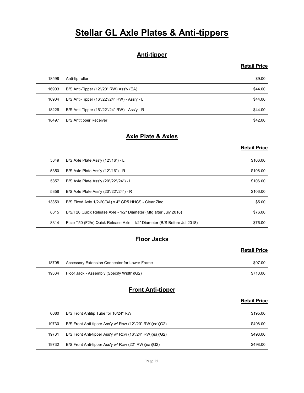# **Stellar GL Axle Plates & Anti-tippers**

#### Anti-tipper

#### Retail Price

|       | <b>Stellar GL Axle Plates &amp; Anti-tippers</b>         |                     |
|-------|----------------------------------------------------------|---------------------|
|       |                                                          |                     |
|       | <b>Anti-tipper</b>                                       |                     |
|       |                                                          | <b>Retail Price</b> |
| 18598 | Anti-tip roller                                          | \$9.00              |
| 16903 | B/S Anti-Tipper (12"/20" RW) Ass'y (EA)                  | \$44.00             |
| 16904 | B/S Anti-Tipper (16"/22"/24" RW) - Ass'y - L             | \$44.00             |
| 18226 | B/S Anti-Tipper (16"/22"/24" RW) - Ass'y - R             | \$44.00             |
| 18497 | <b>B/S Antitipper Receiver</b>                           | \$42.00             |
|       | <b>Axle Plate &amp; Axles</b>                            |                     |
|       |                                                          | <b>Retail Price</b> |
| 5349  | B/S Axle Plate Ass'y (12"/16") - L                       | \$106.00            |
| 5350  | B/S Axle Plate Ass'y (12"/16") - R                       | \$106.00            |
| 5357  | B/S Axle Plate Ass'y (20"/22"/24") - L                   | \$106.00            |
| 5358  | B/S Axle Plate Ass'y (20"/22"/24") - R                   | \$106.00            |
| 13350 | $R/S$ Fived Ayle $1/2-20(3A)$ v 4" GR5 HHCS - Clear Zinc | \$5.00              |

#### Axle Plate & Axles

#### Retail Price

|       | <b>Anti-tipper</b>                                                       |                     |
|-------|--------------------------------------------------------------------------|---------------------|
|       |                                                                          | <b>Retail Price</b> |
| 18598 | Anti-tip roller                                                          | \$9.00              |
| 16903 | B/S Anti-Tipper (12"/20" RW) Ass'y (EA)                                  | \$44.00             |
| 16904 | B/S Anti-Tipper (16"/22"/24" RW) - Ass'y - L                             | \$44.00             |
| 18226 | B/S Anti-Tipper (16"/22"/24" RW) - Ass'y - R                             | \$44.00             |
| 18497 | <b>B/S Antitipper Receiver</b>                                           | \$42.00             |
|       | <b>Axle Plate &amp; Axles</b>                                            |                     |
|       |                                                                          | <b>Retail Price</b> |
| 5349  | B/S Axle Plate Ass'y (12"/16") - L                                       | \$106.00            |
| 5350  | B/S Axle Plate Ass'y (12"/16") - R                                       | \$106.00            |
| 5357  | B/S Axle Plate Ass'y (20"/22"/24") - L                                   | \$106.00            |
| 5358  | B/S Axle Plate Ass'y (20"/22"/24") - R                                   | \$106.00            |
| 13359 | B/S Fixed Axle 1/2-20(3A) x 4" GR5 HHCS - Clear Zinc                     | \$5.00              |
| 8315  | B/S/T20 Quick Release Axle - 1/2" Diameter (Mfg after July 2018)         | \$76.00             |
| 8314  | Fuze T50 (F2/n) Quick Release Axle - 1/2" Diameter (B/S Before Jul 2018) | \$76.00             |
|       | <b>Floor Jacks</b>                                                       |                     |
|       |                                                                          | <b>Retail Price</b> |
| 18708 | Accessory Extension Connector for Lower Frame                            | \$97.00             |
| 19334 | Floor Jack - Assembly (Specify Width)(G2)                                | \$710.00            |
|       | <b>Front Anti-tipper</b>                                                 |                     |
|       |                                                                          | <b>Retail Price</b> |
| 6080  | B/S Front Antitip Tube for 16/24" RW                                     | \$195.00            |
| 19730 | B/S Front Anti-tipper Ass'y w/ Rcvr (12"/20" RW)(ea)(G2)                 | \$498.00            |
| 19731 | B/S Front Anti-tipper Ass'y w/ Rcvr (16"/24" RW)(ea)(G2)                 | \$498.00            |
| 19732 | B/S Front Anti-tinner Ass'y w/ Royr (22" RW)(ea)(G2)                     | \$498.00            |

#### **Floor Jacks**

#### Retail Price

| 18708 | Accessory Extension Connector for Lower Frame | \$97.00  |
|-------|-----------------------------------------------|----------|
| 19334 | Floor Jack - Assembly (Specify Width)(G2)     | \$710.00 |

#### Front Anti-tipper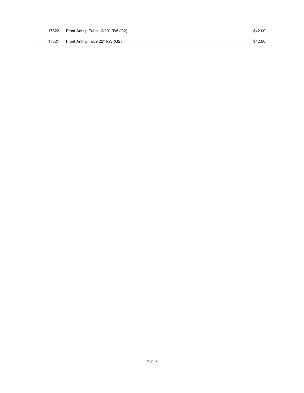Page 16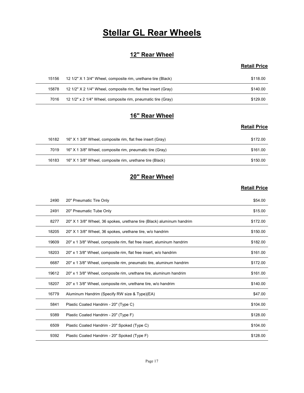# **Stellar GL Rear Wheels**

#### 12" Rear Wheel

#### Retail Price

|       | <b>Stellar GL Rear Wheels</b>                                  |                     |
|-------|----------------------------------------------------------------|---------------------|
|       |                                                                |                     |
|       | 12" Rear Wheel                                                 |                     |
|       |                                                                | <b>Retail Price</b> |
|       |                                                                |                     |
| 15156 | 12 1/2" X 1 3/4" Wheel, composite rim, urethane tire (Black)   | \$118.00            |
| 15878 | 12 1/2" X 2 1/4" Wheel, composite rim, flat free insert (Gray) | \$140.00            |
| 7016  | 12 1/2" x 2 1/4" Wheel, composite rim, pneumatic tire (Gray)   | \$129.00            |
|       |                                                                |                     |
|       | 16" Rear Wheel                                                 | <b>Retail Price</b> |

#### 16" Rear Wheel

#### Retail Price

|       | <b>Stellar GL Rear Wheels</b>                                  |                     |
|-------|----------------------------------------------------------------|---------------------|
|       | 12" Rear Wheel                                                 |                     |
|       |                                                                | <b>Retail Price</b> |
| 15156 | 12 1/2" X 1 3/4" Wheel, composite rim, urethane tire (Black)   | \$118.00            |
| 15878 | 12 1/2" X 2 1/4" Wheel, composite rim, flat free insert (Gray) | \$140.00            |
| 7016  | 12 1/2" x 2 1/4" Wheel, composite rim, pneumatic tire (Gray)   | \$129.00            |
|       | 16" Rear Wheel                                                 |                     |
|       |                                                                | <b>Retail Price</b> |
| 16182 | 16" X 1 3/8" Wheel, composite rim, flat free insert (Gray)     | \$172.00            |
| 7019  | 16" X 1 3/8" Wheel, composite rim, pneumatic tire (Gray)       | \$161.00            |
| 16183 | 16" X 1 3/8" Wheel, composite rim, urethane tire (Black)       | \$150.00            |
|       | 20" Rear Wheel                                                 |                     |
|       |                                                                | <b>Retail Price</b> |

#### 20" Rear Wheel

| 15156 | 12 1/2" X 1 3/4" Wheel, composite rim, urethane tire (Black)          | \$118.00            |
|-------|-----------------------------------------------------------------------|---------------------|
| 15878 | 12 1/2" X 2 1/4" Wheel, composite rim, flat free insert (Gray)        | \$140.00            |
| 7016  | 12 1/2" x 2 1/4" Wheel, composite rim, pneumatic tire (Gray)          | \$129.00            |
|       |                                                                       |                     |
|       | 16" Rear Wheel                                                        |                     |
|       |                                                                       | <b>Retail Price</b> |
| 16182 | 16" X 1 3/8" Wheel, composite rim, flat free insert (Gray)            | \$172.00            |
| 7019  | 16" X 1 3/8" Wheel, composite rim, pneumatic tire (Gray)              | \$161.00            |
| 16183 | 16" X 1 3/8" Wheel, composite rim, urethane tire (Black)              | \$150.00            |
|       |                                                                       |                     |
|       | 20" Rear Wheel                                                        |                     |
|       |                                                                       | <b>Retail Price</b> |
| 2490  | 20" Pneumatic Tire Only                                               | \$54.00             |
| 2491  | 20" Pneumatic Tube Only                                               | \$15.00             |
| 8277  | 20" X 1 3/8" Wheel, 36 spokes, urethane tire (Black) aluminum handrim | \$172.00            |
| 18205 | 20" X 1 3/8" Wheel, 36 spokes, urethane tire, w/o handrim             | \$150.00            |
| 19609 | 20" x 1 3/8" Wheel, composite rim, flat free insert, aluminum handrim | \$182.00            |
| 18203 | 20" x 1 3/8" Wheel, composite rim, flat free insert, w/o handrim      | \$161.00            |
| 6687  | 20" x 1 3/8" Wheel, composite rim, pneumatic tire, aluminum handrim   | \$172.00            |
| 19612 | 20" x 1 3/8" Wheel, composite rim, urethane tire, aluminum handrim    | \$161.00            |
| 18207 | 20" x 1 3/8" Wheel, composite rim, urethane tire, w/o handrim         | \$140.00            |
| 16779 | Aluminum Handrim (Specify RW size & Type)(EA)                         | \$47.00             |
| 5841  | Plastic Coated Handrim - 20" (Type C)                                 | \$104.00            |
| 9389  | Plastic Coated Handrim - 20" (Type F)                                 | \$128.00            |
| 6509  | Plastic Coated Handrim - 20" Spoked (Type C)                          | \$104.00            |
|       | Plastic Coated Handrim - 20" Spoked (Type F)<br>9392                  | \$128.00            |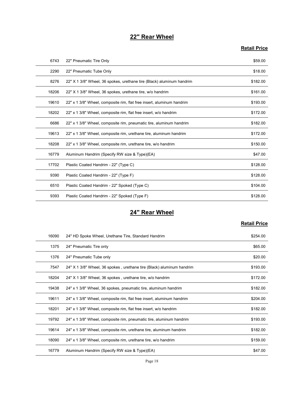#### 22" Rear Wheel

#### Retail Price

|       | 22" Rear Wheel                                                        |                     |
|-------|-----------------------------------------------------------------------|---------------------|
|       |                                                                       | <b>Retail Price</b> |
| 6743  | 22" Pneumatic Tire Only                                               | \$59.00             |
| 2290  | 22" Pneumatic Tube Only                                               | \$18.00             |
| 8276  | 22" X 1 3/8" Wheel, 36 spokes, urethane tire (Black) aluminum handrim | \$182.00            |
| 18206 | 22" X 1 3/8" Wheel, 36 spokes, urethane tire, w/o handrim             | \$161.00            |
| 19610 | 22" x 1 3/8" Wheel, composite rim, flat free insert, aluminum handrim | \$193.00            |
| 18202 | 22" x 1 3/8" Wheel, composite rim, flat free insert, w/o handrim      | \$172.00            |
| 6686  | 22" x 1 3/8" Wheel, composite rim, pneumatic tire, aluminum handrim   | \$182.00            |
| 19613 | 22" x 1 3/8" Wheel, composite rim, urethane tire, aluminum handrim    | \$172.00            |
| 18208 | 22" x 1 3/8" Wheel, composite rim, urethane tire, w/o handrim         | \$150.00            |
| 16779 | Aluminum Handrim (Specify RW size & Type)(EA)                         | \$47.00             |
| 17702 | Plastic Coated Handrim - 22" (Type C)                                 | \$128.00            |
| 9390  | Plastic Coated Handrim - 22" (Type F)                                 | \$128.00            |
| 6510  | Plastic Coated Handrim - 22" Spoked (Type C)                          | \$104.00            |
| 9393  | Plastic Coated Handrim - 22" Spoked (Type F)                          | \$128.00            |
|       | 24" Rear Wheel                                                        |                     |
|       |                                                                       | <b>Retail Price</b> |
| 16090 | 24" HD Spoke Wheel, Urethane Tire, Standard Handrim                   | \$254.00            |
| 1375  | 24" Pneumatic Tire only                                               | \$65.00             |
| 1376  | 24" Pneumatic Tube only                                               | \$20.00             |
| 7547  | 24" X 1 3/8" Wheel, 36 spokes, urethane tire (Black) aluminum handrim | \$193.00            |
| 18204 | 24" X 1 3/8" Wheel, 36 spokes, urethane tire, w/o handrim             | \$172.00            |
| 19438 | 24" x 1.3/8" Wheel 36 snokes pneumatic tire aluminum handrim          | \$18200             |

#### 24" Rear Wheel

| 18208 | 22" x 1 3/8" Wheel, composite rim, urethane tire, w/o handrim         | \$150.00            |
|-------|-----------------------------------------------------------------------|---------------------|
| 16779 | Aluminum Handrim (Specify RW size & Type)(EA)                         | \$47.00             |
| 17702 | Plastic Coated Handrim - 22" (Type C)                                 | \$128.00            |
| 9390  | Plastic Coated Handrim - 22" (Type F)                                 | \$128.00            |
| 6510  | Plastic Coated Handrim - 22" Spoked (Type C)                          | \$104.00            |
| 9393  | Plastic Coated Handrim - 22" Spoked (Type F)                          | \$128.00            |
|       | 24" Rear Wheel                                                        | <b>Retail Price</b> |
| 16090 | 24" HD Spoke Wheel, Urethane Tire, Standard Handrim                   | \$254.00            |
| 1375  | 24" Pneumatic Tire only                                               | \$65.00             |
| 1376  | 24" Pneumatic Tube only                                               | \$20.00             |
| 7547  | 24" X 1 3/8" Wheel, 36 spokes, urethane tire (Black) aluminum handrim | \$193.00            |
| 18204 | 24" X 1 3/8" Wheel, 36 spokes, urethane tire, w/o handrim             | \$172.00            |
| 19438 | 24" x 1 3/8" Wheel, 36 spokes, pneumatic tire, aluminum handrim       | \$182.00            |
| 19611 | 24" x 1 3/8" Wheel, composite rim, flat free insert, aluminum handrim | \$204.00            |
| 18201 | 24" x 1 3/8" Wheel, composite rim, flat free insert, w/o handrim      | \$182.00            |
| 19792 | 24" x 1 3/8" Wheel, composite rim, pneumatic tire, aluminum handrim   | \$193.00            |
| 19614 | 24" x 1 3/8" Wheel, composite rim, urethane tire, aluminum handrim    | \$182.00            |
| 18090 | 24" x 1 3/8" Wheel, composite rim, urethane tire, w/o handrim         | \$159.00            |
| 16779 | Aluminum Handrim (Specify RW size & Type)(EA)                         | \$47.00             |
|       | Page 18                                                               |                     |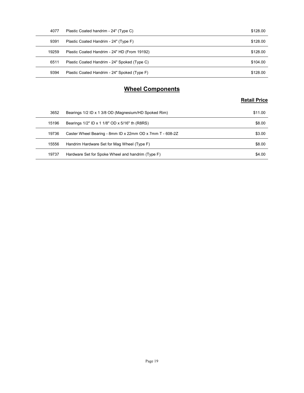| 4077  | Plastic Coated handrim - 24" (Type C)                    | \$128.00            |
|-------|----------------------------------------------------------|---------------------|
| 9391  | Plastic Coated Handrim - 24" (Type F)                    | \$128.00            |
| 19259 | Plastic Coated Handrim - 24" HD (From 19192)             | \$128.00            |
| 6511  | Plastic Coated Handrim - 24" Spoked (Type C)             | \$104.00            |
| 9394  | Plastic Coated Handrim - 24" Spoked (Type F)             | \$128.00            |
|       | <b>Wheel Components</b>                                  |                     |
|       |                                                          | <b>Retail Price</b> |
| 3652  | Bearings 1/2 ID x 1 3/8 OD (Magnesium/HD Spoked Rim)     | \$11.00             |
| 15196 | Bearings 1/2" ID x 1 1/8" OD x 5/16" th (R8RS)           | \$8.00              |
| 19736 | Caster Wheel Bearing - 8mm ID x 22mm OD x 7mm T - 608-2Z | \$3.00              |
|       |                                                          |                     |
| 15556 | Handrim Hardware Set for Mag Wheel (Type F)              | \$8.00              |

#### Wheel Components

| Plastic Coated handrim - 24" (Type C)                    | \$128.00                |
|----------------------------------------------------------|-------------------------|
|                                                          |                         |
|                                                          |                         |
| Plastic Coated Handrim - 24" (Type F)                    | \$128.00                |
| Plastic Coated Handrim - 24" HD (From 19192)             | \$128.00                |
| Plastic Coated Handrim - 24" Spoked (Type C)             | \$104.00                |
| Plastic Coated Handrim - 24" Spoked (Type F)             | \$128.00                |
|                                                          |                         |
|                                                          |                         |
|                                                          | <b>Retail Price</b>     |
| Bearings 1/2 ID x 1 3/8 OD (Magnesium/HD Spoked Rim)     | \$11.00                 |
| Bearings 1/2" ID x 1 1/8" OD x 5/16" th (R8RS)           | \$8.00                  |
| Caster Wheel Bearing - 8mm ID x 22mm OD x 7mm T - 608-2Z | \$3.00                  |
| Handrim Hardware Set for Mag Wheel (Type F)              | \$8.00                  |
| Hardware Set for Spoke Wheel and handrim (Type F)        | \$4.00                  |
|                                                          | <b>Wheel Components</b> |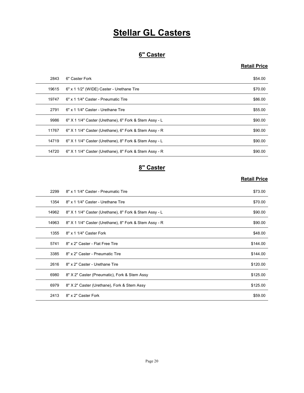# **Stellar GL Casters**

#### 6" Caster

#### Retail Price

|       | <b>Stellar GL Casters</b>                              |                     |
|-------|--------------------------------------------------------|---------------------|
|       |                                                        |                     |
|       | 6" Caster                                              |                     |
|       |                                                        | <b>Retail Price</b> |
| 2843  | 6" Caster Fork                                         | \$54.00             |
| 19615 | 6" x 1 1/2" (WIDE) Caster - Urethane Tire              | \$70.00             |
| 19747 | 6" x 1 1/4" Caster - Pneumatic Tire                    | \$86.00             |
| 2791  | 6" x 1 1/4" Caster - Urethane Tire                     | \$55.00             |
| 9986  | 6" X 1 1/4" Caster (Urethane), 6" Fork & Stem Assy - L | \$90.00             |
| 11767 | 6" X 1 1/4" Caster (Urethane), 6" Fork & Stem Assy - R | \$90.00             |
| 14719 | 6" X 1 1/4" Caster (Urethane), 8" Fork & Stem Assy - L | \$90.00             |
| 14720 | 6" X 1 1/4" Caster (Urethane), 8" Fork & Stem Assy - R | \$90.00             |
|       | 8" Caster                                              |                     |
|       |                                                        | <b>Retail Price</b> |
| 2299  | 8" x 1 1/4" Caster - Pneumatic Tire                    | \$73.00             |
| 1354  | 8" x 1 1/4" Caster - Urethane Tire                     | \$70.00             |
| 14962 | 8" X 1 1/4" Caster (Urethane), 8" Fork & Stem Assy - L | \$90.00             |
| 14963 | 8" X 1 1/4" Caster (Urethane), 8" Fork & Stem Assy - R | \$90.00             |
| 1355  | 8" x 1 1/4" Caster Fork                                | \$48.00             |
| 5741  | 8" x 2" Caster - Flat Free Tire                        | \$144.00            |

#### 8" Caster

| 19747 | 6" x 1 1/4" Caster - Pneumatic Tire                    | \$86.00             |
|-------|--------------------------------------------------------|---------------------|
| 2791  | 6" x 1 1/4" Caster - Urethane Tire                     | \$55.00             |
| 9986  | 6" X 1 1/4" Caster (Urethane), 6" Fork & Stem Assy - L | \$90.00             |
| 11767 | 6" X 1 1/4" Caster (Urethane), 6" Fork & Stem Assy - R | \$90.00             |
| 14719 | 6" X 1 1/4" Caster (Urethane), 8" Fork & Stem Assy - L | \$90.00             |
| 14720 | 6" X 1 1/4" Caster (Urethane), 8" Fork & Stem Assy - R | \$90.00             |
|       | 8" Caster                                              |                     |
|       |                                                        | <b>Retail Price</b> |
| 2299  | 8" x 1 1/4" Caster - Pneumatic Tire                    | \$73.00             |
| 1354  | 8" x 1 1/4" Caster - Urethane Tire                     | \$70.00             |
| 14962 | 8" X 1 1/4" Caster (Urethane), 8" Fork & Stem Assy - L | \$90.00             |
| 14963 | 8" X 1 1/4" Caster (Urethane), 8" Fork & Stem Assy - R | \$90.00             |
| 1355  | 8" x 1 1/4" Caster Fork                                | \$48.00             |
| 5741  | 8" x 2" Caster - Flat Free Tire                        | \$144.00            |
| 3385  | 8" x 2" Caster - Pneumatic Tire                        | \$144.00            |
| 2616  | 8" x 2" Caster - Urethane Tire                         | \$120.00            |
| 6980  | 8" X 2" Caster (Pneumatic), Fork & Stem Assy           | \$125.00            |
| 6979  | 8" X 2" Caster (Urethane), Fork & Stem Assy            | \$125.00            |
| 2413  | 8" x 2" Caster Fork                                    | \$59.00             |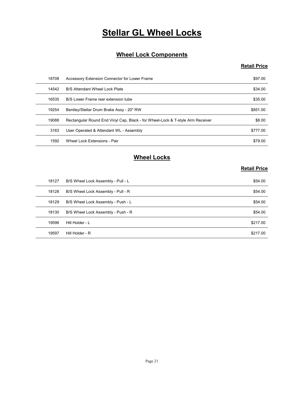# **Stellar GL Wheel Locks**

#### Wheel Lock Components

#### Retail Price

|       | <b>Stellar GL Wheel Locks</b>                                                  |                     |
|-------|--------------------------------------------------------------------------------|---------------------|
|       | <b>Wheel Lock Components</b>                                                   |                     |
|       |                                                                                | <b>Retail Price</b> |
| 18708 | Accessory Extension Connector for Lower Frame                                  | \$97.00             |
| 14542 | B/S Attendant Wheel Lock Plate                                                 | \$34.00             |
| 16535 | B/S Lower Frame rear extension tube                                            | \$35.00             |
| 19254 | Bentley/Stellar Drum Brake Assy - 20" RW                                       | \$851.00            |
| 19088 | Rectangular Round End Vinyl Cap, Black - for Wheel-Lock & T-style Arm Receiver | \$8.00              |
| 3163  | User Operated & Attendant WL - Assembly                                        | \$777.00            |
| 1592  | Wheel Lock Extensions - Pair                                                   | \$79.00             |
|       | <b>Wheel Locks</b>                                                             |                     |
|       |                                                                                | <b>Retail Price</b> |
| 18127 | B/S Wheel Lock Assembly - Pull - L                                             | \$54.00             |
| 18128 | B/S Wheel Lock Assembly - Pull - R                                             | \$54.00             |
| 18129 | B/S Wheel Lock Assembly - Push - L                                             | \$54.00             |
| 18130 | B/S Wheel Lock Assembly - Push - R                                             | \$54.00             |
| 19596 | Hill Holder - L                                                                | \$217.00            |
| 19597 | Hill Holder - R                                                                | \$217.00            |

## Wheel Locks

| 16535 | B/S Lower Frame rear extension tube                                            | \$35.00             |
|-------|--------------------------------------------------------------------------------|---------------------|
| 19254 | Bentley/Stellar Drum Brake Assy - 20" RW                                       | \$851.00            |
| 19088 | Rectangular Round End Vinyl Cap, Black - for Wheel-Lock & T-style Arm Receiver | \$8.00              |
| 3163  | User Operated & Attendant WL - Assembly                                        | \$777.00            |
| 1592  | Wheel Lock Extensions - Pair                                                   | \$79.00             |
|       | <b>Wheel Locks</b>                                                             | <b>Retail Price</b> |
| 18127 | B/S Wheel Lock Assembly - Pull - L                                             | \$54.00             |
| 18128 | B/S Wheel Lock Assembly - Pull - R                                             | \$54.00             |
| 18129 | B/S Wheel Lock Assembly - Push - L                                             | \$54.00             |
| 18130 | B/S Wheel Lock Assembly - Push - R                                             | \$54.00             |
|       |                                                                                |                     |
| 19596 | Hill Holder - L                                                                | \$217.00            |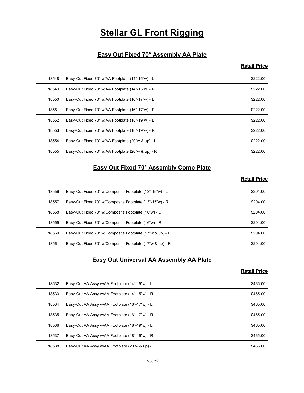# **Stellar GL Front Rigging**

#### Easy Out Fixed 70° Assembly AA Plate

#### Retail Price

|       | <b>Stellar GL Front Rigging</b>                          |                     |
|-------|----------------------------------------------------------|---------------------|
|       |                                                          |                     |
|       | Easy Out Fixed 70° Assembly AA Plate                     |                     |
|       |                                                          | <b>Retail Price</b> |
| 18548 | Easy-Out Fixed 70° w/AA Footplate (14"-15"w) - L         | \$222.00            |
| 18549 | Easy-Out Fixed 70° w/AA Footplate (14"-15"w) - R         | \$222.00            |
| 18550 | Easy-Out Fixed 70° w/AA Footplate (16"-17"w) - L         | \$222.00            |
| 18551 | Easy-Out Fixed 70° w/AA Footplate (16"-17"w) - R         | \$222.00            |
| 18552 | Easy-Out Fixed 70° w/AA Footplate (18"-19"w) - L         | \$222.00            |
| 18553 | Easy-Out Fixed 70° w/AA Footplate (18"-19"w) - R         | \$222.00            |
| 18554 | Easy-Out Fixed 70° w/AA Footplate (20"w & up) - L        | \$222.00            |
| 18555 | Easy-Out Fixed 70° w/AA Footplate (20"w & up) - R        | \$222.00            |
|       | Easy Out Fixed 70° Assembly Comp Plate                   |                     |
|       |                                                          | <b>Retail Price</b> |
| 18556 | Easy-Out Fixed 70° w/Composite Footplate (13"-15"w) - L  | \$204.00            |
| 18557 | Easy-Out Fixed 70° w/Composite Footplate (13"-15"w) - R  | \$204.00            |
| 18558 | Easy-Out Fixed 70° w/Composite Footplate (16"w) - L      | \$204.00            |
| 18559 | Easy-Out Fixed 70° w/Composite Footplate (16"w) - R      | \$204.00            |
| 18560 | Easy-Out Fixed 70° w/Composite Footplate (17"w & up) - L | \$204.00            |
| 18561 | Easy-Out Fixed 70° w/Composite Footplate (17"w & up) - R | \$204.00            |

#### Easy Out Fixed 70° Assembly Comp Plate

#### Retail Price

| 18551 | Easy-Out Fixed 70° w/AA Footplate (16"-17"w) - R                            | \$222.00            |
|-------|-----------------------------------------------------------------------------|---------------------|
| 18552 | Easy-Out Fixed 70° w/AA Footplate (18"-19"w) - L                            | \$222.00            |
| 18553 | Easy-Out Fixed 70° w/AA Footplate (18"-19"w) - R                            | \$222.00            |
| 18554 | Easy-Out Fixed 70° w/AA Footplate (20"w & up) - L                           | \$222.00            |
| 18555 | Easy-Out Fixed 70° w/AA Footplate (20"w & up) - R                           | \$222.00            |
|       | <b>Easy Out Fixed 70° Assembly Comp Plate</b>                               |                     |
|       |                                                                             | <b>Retail Price</b> |
| 18556 | Easy-Out Fixed 70° w/Composite Footplate (13"-15"w) - L                     | \$204.00            |
| 18557 | Easy-Out Fixed 70° w/Composite Footplate (13"-15"w) - R                     | \$204.00            |
| 18558 | Easy-Out Fixed 70° w/Composite Footplate (16"w) - L                         | \$204.00            |
| 18559 | Easy-Out Fixed 70° w/Composite Footplate (16"w) - R                         | \$204.00            |
| 18560 | Easy-Out Fixed 70° w/Composite Footplate (17"w & up) - L                    | \$204.00            |
| 18561 | Easy-Out Fixed 70° w/Composite Footplate (17"w & up) - R                    | \$204.00            |
|       | <b>Easy Out Universal AA Assembly AA Plate</b>                              | <b>Retail Price</b> |
| 18532 | Easy-Out AA Assy w/AA Footplate (14"-15"w) - L                              | \$465.00            |
| 18533 | Easy-Out AA Assy w/AA Footplate (14"-15"w) - R                              | \$465.00            |
| 18534 | Easy-Out AA Assy w/AA Footplate (16"-17"w) - L                              | \$465.00            |
| 18535 | Easy-Out AA Assy w/AA Footplate (16"-17"w) - R                              | \$465.00            |
| 18536 | Easy-Out AA Assy w/AA Footplate (18"-19"w) - L                              | \$465.00            |
| 18537 | $Fasev$ -Out $\Delta\Delta$ Assy w/ $\Delta\Delta$ Footplate (18"-19"w) - R | <b>S465 00</b>      |

#### Easy Out Universal AA Assembly AA Plate

| 18556 |                                                          |                     |
|-------|----------------------------------------------------------|---------------------|
|       | Easy-Out Fixed 70° w/Composite Footplate (13"-15"w) - L  | \$204.00            |
| 18557 | Easy-Out Fixed 70° w/Composite Footplate (13"-15"w) - R  | \$204.00            |
| 18558 | Easy-Out Fixed 70° w/Composite Footplate (16"w) - L      | \$204.00            |
| 18559 | Easy-Out Fixed 70° w/Composite Footplate (16"w) - R      | \$204.00            |
| 18560 | Easy-Out Fixed 70° w/Composite Footplate (17"w & up) - L | \$204.00            |
| 18561 | Easy-Out Fixed 70° w/Composite Footplate (17"w & up) - R | \$204.00            |
|       | <b>Easy Out Universal AA Assembly AA Plate</b>           | <b>Retail Price</b> |
| 18532 | Easy-Out AA Assy w/AA Footplate (14"-15"w) - L           | \$465.00            |
| 18533 | Easy-Out AA Assy w/AA Footplate (14"-15"w) - R           | \$465.00            |
| 18534 | Easy-Out AA Assy w/AA Footplate (16"-17"w) - L           | \$465.00            |
| 18535 | Easy-Out AA Assy w/AA Footplate (16"-17"w) - R           | \$465.00            |
| 18536 | Easy-Out AA Assy w/AA Footplate (18"-19"w) - L           | \$465.00            |
|       |                                                          | \$465.00            |
| 18537 | Easy-Out AA Assy w/AA Footplate (18"-19"w) - R           |                     |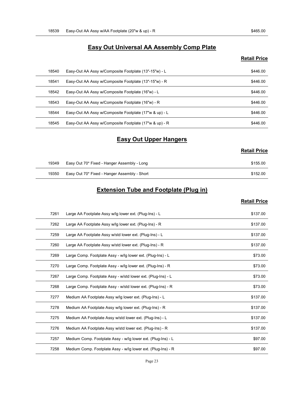# Easy-Out AA Assy w/AA Footplate (20"w & up) - R \$465.00<br>Easy Out Universal AA Assembly Comp Plate<br>Retail Price Easy Out Universal AA Assembly Comp Plate

#### Retail Price

| 18539 | Easy-Out AA Assy w/AA Footplate (20"w & up) - R         | \$465.00            |
|-------|---------------------------------------------------------|---------------------|
|       |                                                         |                     |
|       | <b>Easy Out Universal AA Assembly Comp Plate</b>        |                     |
|       |                                                         | <b>Retail Price</b> |
| 18540 | Easy-Out AA Assy w/Composite Footplate (13"-15"w) - L   | \$446.00            |
| 18541 | Easy-Out AA Assy w/Composite Footplate (13"-15"w) - R   | \$446.00            |
| 18542 | Easy-Out AA Assy w/Composite Footplate (16"w) - L       | \$446.00            |
| 18543 | Easy-Out AA Assy w/Composite Footplate (16"w) - R       | \$446.00            |
| 18544 | Easy-Out AA Assy w/Composite Footplate (17"w & up) - L  | \$446.00            |
| 18545 | Easy-Out AA Assy w/Composite Footplate (17"w & up) - R  | \$446.00            |
|       | <b>Easy Out Upper Hangers</b>                           |                     |
|       |                                                         | <b>Retail Price</b> |
| 19349 | Easy Out 70* Fixed - Hanger Assembly - Long             | \$155.00            |
| 19350 | Easy Out 70* Fixed - Hanger Assembly - Short            | \$152.00            |
|       | <b>Extension Tube and Footplate (Plug in)</b>           |                     |
|       |                                                         | <b>Retail Price</b> |
| 7261  | Large AA Footplate Assy w/lg lower ext. (Plug-Ins) - L  | \$137.00            |
| 7262  | Large AA Footplate Assy w/lg lower ext. (Plug-Ins) - R  | \$137.00            |
| 7259  | Large AA Footplate Assy w/std lower ext. (Plug-Ins) - L | \$137.00            |
| 7260  | Large AA Footplate Assy w/std lower ext (Plug-Ins) - R  | \$137.00            |

#### Easy Out Upper Hangers

| <b>Retail Price</b> |  |
|---------------------|--|
|---------------------|--|

| 19349 | Easy Out 70* Fixed - Hanger Assembly - Long  | \$155.00 |
|-------|----------------------------------------------|----------|
| 19350 | Easy Out 70* Fixed - Hanger Assembly - Short | \$152.00 |

#### Extension Tube and Footplate (Plug in)

| 18543 | Easy-Out AA Assy w/Composite Footplate (16"w) - R            | \$446.00            |
|-------|--------------------------------------------------------------|---------------------|
| 18544 | Easy-Out AA Assy w/Composite Footplate (17"w & up) - L       | \$446.00            |
| 18545 | Easy-Out AA Assy w/Composite Footplate (17"w & up) - R       | \$446.00            |
|       | <b>Easy Out Upper Hangers</b>                                |                     |
|       |                                                              |                     |
|       |                                                              | <b>Retail Price</b> |
| 19349 | Easy Out 70* Fixed - Hanger Assembly - Long                  | \$155.00            |
| 19350 | Easy Out 70* Fixed - Hanger Assembly - Short                 | \$152.00            |
|       | <b>Extension Tube and Footplate (Plug in)</b>                |                     |
|       |                                                              | <b>Retail Price</b> |
| 7261  | Large AA Footplate Assy w/lg lower ext. (Plug-Ins) - L       | \$137.00            |
| 7262  | Large AA Footplate Assy w/lg lower ext. (Plug-Ins) - R       | \$137.00            |
| 7259  | Large AA Footplate Assy w/std lower ext. (Plug-Ins) - L      | \$137.00            |
| 7260  | Large AA Footplate Assy w/std lower ext. (Plug-Ins) - R      | \$137.00            |
| 7269  | Large Comp. Footplate Assy - w/lg lower ext. (Plug-Ins) - L  | \$73.00             |
| 7270  | Large Comp. Footplate Assy - w/lg lower ext. (Plug-Ins) - R  | \$73.00             |
| 7267  | Large Comp. Footplate Assy - w/std lower ext. (Plug-Ins) - L | \$73.00             |
| 7268  | Large Comp. Footplate Assy - w/std lower ext. (Plug-Ins) - R | \$73.00             |
| 7277  | Medium AA Footplate Assy w/lg lower ext. (Plug-Ins) - L      | \$137.00            |
| 7278  | Medium AA Footplate Assy w/lg lower ext. (Plug-Ins) - R      | \$137.00            |
| 7275  | Medium AA Footplate Assy w/std lower ext. (Plug-Ins) - L     | \$137.00            |
| 7276  | Medium AA Footplate Assy w/std lower ext. (Plug-Ins) - R     | \$137.00            |
| 7257  | Medium Comp. Footplate Assy - w/lg lower ext. (Plug-Ins) - L | \$97.00             |
| 7258  | Medium Comp. Footplate Assy - w/lg lower ext. (Plug-Ins) - R | \$97.00             |
|       | Page 23                                                      |                     |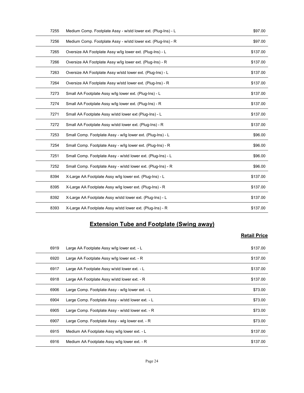| 7255 | Medium Comp. Footplate Assy - w/std lower ext. (Plug-Ins) - L | \$97.00             |
|------|---------------------------------------------------------------|---------------------|
| 7256 | Medium Comp. Footplate Assy - w/std lower ext. (Plug-Ins) - R | \$97.00             |
| 7265 | Oversize AA Footplate Assy w/lg lower ext. (Plug-Ins) - L     | \$137.00            |
| 7266 | Oversize AA Footplate Assy w/lg lower ext. (Plug-Ins) - R     | \$137.00            |
| 7263 | Oversize AA Footplate Assy w/std lower ext. (Plug-Ins) - L    | \$137.00            |
| 7264 | Oversize AA Footplate Assy w/std lower ext. (Plug-Ins) - R    | \$137.00            |
| 7273 | Small AA Footplate Assy w/lg lower ext. (Plug-Ins) - L        | \$137.00            |
| 7274 | Small AA Footplate Assy w/lg lower ext. (Plug-Ins) - R        | \$137.00            |
| 7271 | Small AA Footplate Assy w/std lower ext (Plug-Ins) - L        | \$137.00            |
| 7272 | Small AA Footplate Assy w/std lower ext. (Plug-Ins) - R       | \$137.00            |
| 7253 | Small Comp. Footplate Assy - w/lg lower ext. (Plug-Ins) - L   | \$96.00             |
| 7254 | Small Comp. Footplate Assy - w/lg lower ext. (Plug-Ins) - R   | \$96.00             |
| 7251 | Small Comp. Footplate Assy - w/std lower ext. (Plug-Ins) - L  | \$96.00             |
| 7252 | Small Comp. Footplate Assy - w/std lower ext. (Plug-Ins) - R  | \$96.00             |
| 8394 | X-Large AA Footplate Assy w/lg lower ext. (Plug-Ins) - L      | \$137.00            |
| 8395 | X-Large AA Footplate Assy w/lg lower ext. (Plug-Ins) - R      | \$137.00            |
| 8392 | X-Large AA Footplate Assy w/std lower ext. (Plug-Ins) - L     | \$137.00            |
| 8393 | X-Large AA Footplate Assy w/std lower ext. (Plug-Ins) - R     | \$137.00            |
|      |                                                               |                     |
|      | <b>Extension Tube and Footplate (Swing away)</b>              |                     |
|      |                                                               | <b>Retail Price</b> |
| 6919 | Large AA Footplate Assy w/lg lower ext. - L                   | \$137.00            |
| 6920 | Large AA Footplate Assy w/lg lower ext. - R                   | \$137.00            |
| 6917 | Large AA Footplate Assy w/std lower ext. - L                  | \$137.00            |
| 6918 | Large AA Footplate Assy w/std lower ext. - R                  | \$137.00            |
| 6906 | Large Comp. Footplate Assy - w/lg lower ext. - L              | \$73.00             |
| 6904 | Large Comp. Footplate Assy - w/std lower ext. - L             | \$73.00             |

## Extension Tube and Footplate (Swing away)

| 7251 |                                                              |                     |
|------|--------------------------------------------------------------|---------------------|
|      | Small Comp. Footplate Assy - w/std lower ext. (Plug-Ins) - L | \$96.00             |
| 7252 | Small Comp. Footplate Assy - w/std lower ext. (Plug-Ins) - R | \$96.00             |
| 8394 | X-Large AA Footplate Assy w/lg lower ext. (Plug-Ins) - L     | \$137.00            |
| 8395 | X-Large AA Footplate Assy w/lg lower ext. (Plug-Ins) - R     | \$137.00            |
| 8392 | X-Large AA Footplate Assy w/std lower ext. (Plug-Ins) - L    | \$137.00            |
| 8393 | X-Large AA Footplate Assy w/std lower ext. (Plug-Ins) - R    | \$137.00            |
|      | <b>Extension Tube and Footplate (Swing away)</b>             | <b>Retail Price</b> |
| 6919 | Large AA Footplate Assy w/lg lower ext. - L                  | \$137.00            |
| 6920 | Large AA Footplate Assy w/lg lower ext. - R                  | \$137.00            |
| 6917 | Large AA Footplate Assy w/std lower ext. - L                 | \$137.00            |
| 6918 | Large AA Footplate Assy w/std lower ext. - R                 | \$137.00            |
| 6906 | Large Comp. Footplate Assy - w/lg lower ext. - L             | \$73.00             |
|      |                                                              | \$73.00             |
| 6904 | Large Comp. Footplate Assy - w/std lower ext. - L            |                     |
| 6905 | Large Comp. Footplate Assy - w/std lower ext. - R            | \$73.00             |
| 6907 | Large Comp. Footplate Assy - wig lower ext. - R              | \$73.00             |
| 6915 | Medium AA Footplate Assy w/lg lower ext. - L                 | \$137.00            |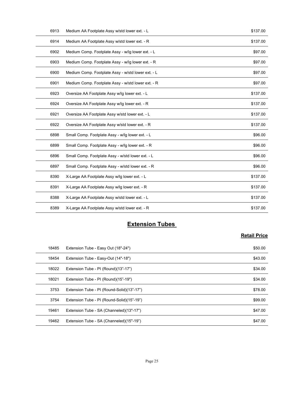| 6913  | Medium AA Footplate Assy w/std lower ext. - L      | \$137.00            |
|-------|----------------------------------------------------|---------------------|
| 6914  | Medium AA Footplate Assy w/std lower ext. - R      | \$137.00            |
| 6902  | Medium Comp. Footplate Assy - w/lg lower ext. - L  | \$97.00             |
| 6903  | Medium Comp. Footplate Assy - w/lg lower ext. - R  | \$97.00             |
| 6900  | Medium Comp. Footplate Assy - w/std lower ext. - L | \$97.00             |
| 6901  | Medium Comp. Footplate Assy - w/std lower ext. - R | \$97.00             |
| 6923  | Oversize AA Footplate Assy w/lg lower ext. - L     | \$137.00            |
| 6924  | Oversize AA Footplate Assy w/lg lower ext. - R     | \$137.00            |
| 6921  | Oversize AA Footplate Assy w/std lower ext. - L    | \$137.00            |
| 6922  | Oversize AA Footplate Assy w/std lower ext. - R    | \$137.00            |
| 6898  | Small Comp. Footplate Assy - w/lg lower ext. - L   | \$96.00             |
| 6899  | Small Comp. Footplate Assy - w/lg lower ext. - R   | \$96.00             |
| 6896  | Small Comp. Footplate Assy - w/std lower ext. - L  | \$96.00             |
| 6897  | Small Comp. Footplate Assy - w/std lower ext. - R  | \$96.00             |
| 8390  | X-Large AA Footplate Assy w/lg lower ext. - L      | \$137.00            |
| 8391  | X-Large AA Footplate Assy w/lg lower ext. - R      | \$137.00            |
| 8388  | X-Large AA Footplate Assy w/std lower ext. - L     | \$137.00            |
| 8389  | X-Large AA Footplate Assy w/std lower ext. - R     | \$137.00            |
|       |                                                    |                     |
|       | <b>Extension Tubes</b>                             |                     |
|       |                                                    | <b>Retail Price</b> |
| 18485 | Extension Tube - Easy Out (18"-24")                | \$50.00             |
| 18454 | Extension Tube - Easy-Out (14"-18")                | \$43.00             |
| 18022 | Extension Tube - PI (Round)(13"-17")               | \$34.00             |
| 18021 | Extension Tube - PI (Round)(15"-19")               | \$34.00             |
| 3753  | Extension Tube - PI (Round-Solid)(13"-17")         | \$78.00             |
| 3754  | Extension Tube - PL (Round-Solid)(15"-19")         | \$99.00             |

#### **Extension Tubes**

| 6896  | Small Comp. Footplate Assy - w/std lower ext. - L | \$96.00             |
|-------|---------------------------------------------------|---------------------|
| 6897  | Small Comp. Footplate Assy - w/std lower ext. - R | \$96.00             |
| 8390  | X-Large AA Footplate Assy w/lg lower ext. - L     | \$137.00            |
| 8391  | X-Large AA Footplate Assy w/lg lower ext. - R     | \$137.00            |
| 8388  | X-Large AA Footplate Assy w/std lower ext. - L    | \$137.00            |
| 8389  | X-Large AA Footplate Assy w/std lower ext. - R    | \$137.00            |
|       | <b>Extension Tubes</b>                            |                     |
|       |                                                   |                     |
|       |                                                   | <b>Retail Price</b> |
| 18485 | Extension Tube - Easy Out (18"-24")               | \$50.00             |
| 18454 | Extension Tube - Easy-Out (14"-18")               | \$43.00             |
| 18022 | Extension Tube - PI (Round)(13"-17")              | \$34.00             |
|       | Extension Tube - PI (Round)(15"-19")              | \$34.00             |
| 18021 |                                                   |                     |
| 3753  | Extension Tube - PI (Round-Solid)(13"-17")        | \$78.00             |
| 3754  | Extension Tube - PI (Round-Solid)(15"-19")        | \$99.00             |
| 19461 | Extension Tube - SA (Channeled)(13"-17")          | \$47.00             |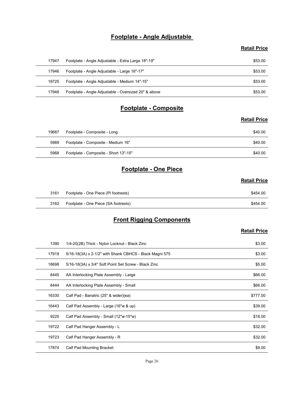#### Footplate - Angle Adjustable

#### Retail Price

|       | Footplate - Angle Adjustable                         |                     |
|-------|------------------------------------------------------|---------------------|
|       |                                                      | <b>Retail Price</b> |
| 17947 | Footplate - Angle Adjustable - Extra Large 18"-19"   | \$53.00             |
| 17946 | Footplate - Angle Adjustable - Large 16"-17"         | \$53.00             |
| 18725 | Footplate - Angle Adjustable - Medium 14"-15"        | \$53.00             |
| 17948 | Footplate - Angle Adjustable - Oversized 20" & above | \$53.00             |
|       | Footplate - Composite                                |                     |
|       |                                                      | <b>Retail Price</b> |
| 19687 | Footplate - Composite - Long                         | \$40.00             |
| 5969  | Footplate - Composite - Medium 16"                   | \$40.00             |
|       | 5968 Footplate - Composite - Short 13"-15"           | \$40.00             |
|       | <b>Footplate - One Piece</b>                         |                     |
|       |                                                      | <b>Retail Price</b> |
|       | Footplate - One Piece (PI footrests)                 | \$454.00            |
| 3161  |                                                      |                     |

#### Footplate - Composite

#### Retail Price

| 18725 | Footplate - Angle Adjustable - Medium 14"-15"        | \$53.00             |
|-------|------------------------------------------------------|---------------------|
| 17948 | Footplate - Angle Adjustable - Oversized 20" & above | \$53.00             |
|       | <b>Footplate - Composite</b>                         |                     |
|       |                                                      | <b>Retail Price</b> |
| 19687 | Footplate - Composite - Long                         | \$40.00             |
| 5969  | Footplate - Composite - Medium 16"                   | \$40.00             |
| 5968  | Footplate - Composite - Short 13"-15"                | \$40.00             |
|       | <b>Footplate - One Piece</b>                         |                     |
|       |                                                      | <b>Retail Price</b> |
| 3161  | Footplate - One Piece (PI footrests)                 | \$454.00            |
| 3162  | Footplate - One Piece (SA footrests)                 | \$454.00            |
|       | <b>Front Rigging Components</b>                      |                     |
|       |                                                      | <b>Retail Price</b> |

#### Footplate - One Piece

#### Retail Price

| 3161 | Footplate - One Piece (PI footrests) | \$454.00 |
|------|--------------------------------------|----------|
| 3162 | Footplate - One Piece (SA footrests) | \$454.00 |

#### Front Rigging Components

|       |                                                         | <b>Retail Price</b> |
|-------|---------------------------------------------------------|---------------------|
| 19687 | Footplate - Composite - Long                            | \$40.00             |
| 5969  | Footplate - Composite - Medium 16"                      | \$40.00             |
| 5968  | Footplate - Composite - Short 13"-15"                   | \$40.00             |
|       | <b>Footplate - One Piece</b>                            |                     |
|       |                                                         | <b>Retail Price</b> |
| 3161  | Footplate - One Piece (PI footrests)                    | \$454.00            |
| 3162  | Footplate - One Piece (SA footrests)                    | \$454.00            |
|       | <b>Front Rigging Components</b>                         |                     |
|       |                                                         | <b>Retail Price</b> |
| 1390  | 1/4-20(2B) Thick - Nylon Locknut - Black Zinc           | \$3.00              |
| 17919 | 5/16-18(3A) x 2-1/2" with Shank CBHCS - Black Magni 575 | \$3.00              |
| 18698 | 5/16-18(3A) x 3/4" Soft Point Set Screw - Black Zinc    | \$5.00              |
| 8445  | AA Interlocking Plate Assembly - Large                  | \$66.00             |
| 8444  | AA Interlocking Plate Assembly - Small                  | \$66.00             |
| 16330 | Calf Pad - Bariatric (25" & wider)(ea)                  | \$777.00            |
| 16443 | Calf Pad Assembly - Large (16"w & up)                   | \$39.00             |
| 9225  | Calf Pad Assembly - Small (12"w-15"w)                   | \$18.00             |
| 19722 | Calf Pad Hanger Assembly - L                            | \$32.00             |
| 19723 | Calf Pad Hanger Assembly - R                            | \$32.00             |
| 17874 | Calf Pad Mounting Bracket                               | \$9.00              |
|       |                                                         |                     |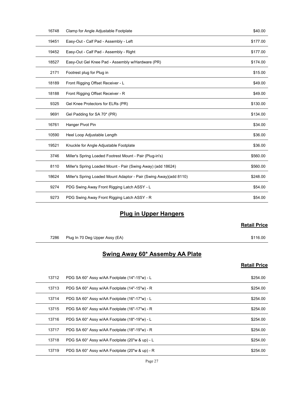| 16748 | Clamp for Angle Adjustable Footplate                               | \$40.00             |
|-------|--------------------------------------------------------------------|---------------------|
| 19451 | Easy-Out - Calf Pad - Assembly - Left                              | \$177.00            |
| 19452 | Easy-Out - Calf Pad - Assembly - Right                             | \$177.00            |
| 18527 | Easy-Out Gel Knee Pad - Assembly w/Hardware (PR)                   | \$174.00            |
| 2171  | Footrest plug for Plug in                                          | \$15.00             |
| 18189 | Front Rigging Offset Receiver - L                                  | \$49.00             |
| 18188 | Front Rigging Offset Receiver - R                                  | \$49.00             |
| 9325  | Gel Knee Protectors for ELRs (PR)                                  | \$130.00            |
| 9691  | Gel Padding for SA 70* (PR)                                        | \$134.00            |
| 16761 | Hanger Pivot Pin                                                   | \$34.00             |
| 10590 | Heel Loop Adjustable Length                                        | \$36.00             |
| 19521 | Knuckle for Angle Adjustable Footplate                             | \$36.00             |
| 3746  | Miller's Spring Loaded Footrest Mount - Pair (Plug-in's)           | \$560.00            |
| 8110  | Miller's Spring Loaded Mount - Pair (Swing Away) (add 18624)       | \$560.00            |
| 18624 | Miller's Spring Loaded Mount Adaptor - Pair (Swing Away)(add 8110) | \$248.00            |
| 9274  | PDG Swing Away Front Rigging Latch ASSY - L                        | \$54.00             |
| 9273  | PDG Swing Away Front Rigging Latch ASSY - R                        | \$54.00             |
|       | <b>Plug in Upper Hangers</b>                                       |                     |
|       |                                                                    | <b>Retail Price</b> |
| 7286  |                                                                    | \$116.00            |
|       | Plug In 70 Deg Upper Assy (EA)                                     |                     |
|       | Swing Away 60* Assemby AA Plate                                    |                     |
|       |                                                                    | <b>Retail Price</b> |
| 13712 | PDG SA 60° Assy w/AA Footplate (14"-15"w) - L                      | \$254.00            |
| 13713 | PDG SA 60° Assy w/AA Footplate (14"-15"w) - R                      | \$254.00            |
| 13714 | PDG SA 60° Assy w/AA Footplate (16"-17"w) - L                      | \$254.00            |
| 13715 | PDG SA 60° Assy w/AA Footplate (16"-17"w) - R                      | \$25400             |

#### **Plug in Upper Hangers**

#### Retail Price

#### Swing Away 60\* Assemby AA Plate

| 8110  | Miller's Spring Loaded Mount - Pair (Swing Away) (add 18624)       | \$560.00            |
|-------|--------------------------------------------------------------------|---------------------|
| 18624 | Miller's Spring Loaded Mount Adaptor - Pair (Swing Away)(add 8110) | \$248.00            |
| 9274  | PDG Swing Away Front Rigging Latch ASSY - L                        | \$54.00             |
| 9273  | PDG Swing Away Front Rigging Latch ASSY - R                        | \$54.00             |
|       | <b>Plug in Upper Hangers</b>                                       |                     |
|       |                                                                    | <b>Retail Price</b> |
| 7286  | Plug In 70 Deg Upper Assy (EA)                                     | \$116.00            |
|       | <b>Swing Away 60* Assemby AA Plate</b>                             |                     |
|       |                                                                    | <b>Retail Price</b> |
| 13712 | PDG SA 60° Assy w/AA Footplate (14"-15"w) - L                      | \$254.00            |
| 13713 | PDG SA 60° Assy w/AA Footplate (14"-15"w) - R                      | \$254.00            |
| 13714 | PDG SA 60° Assy w/AA Footplate (16"-17"w) - L                      | \$254.00            |
| 13715 | PDG SA 60° Assy w/AA Footplate (16"-17"w) - R                      | \$254.00            |
| 13716 | PDG SA 60° Assy w/AA Footplate (18"-19"w) - L                      | \$254.00            |
| 13717 | PDG SA 60° Assy w/AA Footplate (18"-19"w) - R                      | \$254.00            |
| 13718 | PDG SA 60° Assy w/AA Footplate (20"w & up) - L                     | \$254.00            |
| 13719 | PDG SA 60° Assy w/AA Footplate (20"w & up) - R                     | \$254.00            |
|       | Page 27                                                            |                     |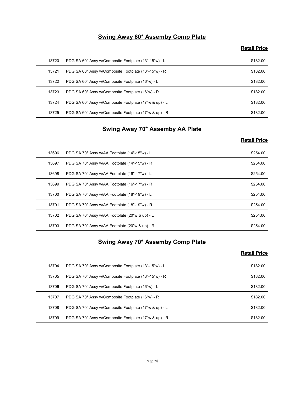#### Swing Away 60\* Assemby Comp Plate

#### Retail Price

|       | <b>Swing Away 60* Assemby Comp Plate</b>                                   |                     |
|-------|----------------------------------------------------------------------------|---------------------|
|       |                                                                            | <b>Retail Price</b> |
| 13720 | PDG SA 60° Assy w/Composite Footplate (13"-15"w) - L                       | \$182.00            |
| 13721 | PDG SA 60° Assy w/Composite Footplate (13"-15"w) - R                       | \$182.00            |
| 13722 | PDG SA 60° Assy w/Composite Footplate (16"w) - L                           | \$182.00            |
| 13723 | PDG SA 60° Assy w/Composite Footplate (16"w) - R                           | \$182.00            |
| 13724 | PDG SA 60° Assy w/Composite Footplate (17"w & up) - L                      | \$182.00            |
| 13725 | PDG SA 60° Assy w/Composite Footplate (17"w & up) - R                      | \$182.00            |
|       | Swing Away 70* Assemby AA Plate                                            |                     |
|       |                                                                            | <b>Retail Price</b> |
| 13696 | PDG SA 70° Assy w/AA Footplate (14"-15"w) - L                              | \$254.00            |
| 13697 | PDG SA 70° Assy w/AA Footplate (14"-15"w) - R                              | \$254.00            |
| 13698 | PDG SA 70° Assy w/AA Footplate (16"-17"w) - L                              | \$254.00            |
| 13699 | PDG SA 70° Assy w/AA Footplate (16"-17"w) - R                              | \$254.00            |
| 13700 | PDG SA 70° Assy w/AA Footplate (18"-19"w) - L                              | \$254.00            |
| 13701 | $P\cap G$ SA $70^\circ$ Assy $w/\Delta\Delta$ Footplate (18"-19" $w$ ) - R | \$254.00            |

#### Swing Away 70\* Assemby AA Plate

#### Retail Price

| 13720 | PDG SA 60° Assy w/Composite Footplate (13"-15"w) - L  | \$182.00            |
|-------|-------------------------------------------------------|---------------------|
| 13721 | PDG SA 60° Assy w/Composite Footplate (13"-15"w) - R  | \$182.00            |
| 13722 | PDG SA 60° Assy w/Composite Footplate (16"w) - L      | \$182.00            |
| 13723 | PDG SA 60° Assy w/Composite Footplate (16"w) - R      | \$182.00            |
| 13724 | PDG SA 60° Assy w/Composite Footplate (17"w & up) - L | \$182.00            |
| 13725 | PDG SA 60° Assy w/Composite Footplate (17"w & up) - R | \$182.00            |
|       | <b>Swing Away 70* Assemby AA Plate</b>                |                     |
|       |                                                       | <b>Retail Price</b> |
| 13696 | PDG SA 70° Assy w/AA Footplate (14"-15"w) - L         | \$254.00            |
| 13697 | PDG SA 70° Assy w/AA Footplate (14"-15"w) - R         | \$254.00            |
| 13698 | PDG SA 70° Assy w/AA Footplate (16"-17"w) - L         | \$254.00            |
| 13699 | PDG SA 70° Assy w/AA Footplate (16"-17"w) - R         | \$254.00            |
| 13700 | PDG SA 70° Assy w/AA Footplate (18"-19"w) - L         | \$254.00            |
| 13701 | PDG SA 70° Assy w/AA Footplate (18"-19"w) - R         | \$254.00            |
| 13702 | PDG SA 70° Assy w/AA Footplate (20"w & up) - L        | \$254.00            |
| 13703 | PDG SA 70° Assy w/AA Footplate (20"w & up) - R        | \$254.00            |
|       | <b>Swing Away 70* Assemby Comp Plate</b>              |                     |
|       |                                                       | <b>Retail Price</b> |
| 13704 | PDG SA 70° Assy w/Composite Footplate (13"-15"w) - L  | \$182.00            |
| 13705 | PDG SA 70° Assy w/Composite Footplate (13"-15"w) - R  | \$182.00            |
| 13706 | PDG SA 70° Assy w/Composite Footplate (16"w) - L      | \$182.00            |
| 13707 | PDG SA 70° Assy w/Composite Footplate (16"w) - R      | \$182.00            |
| 13708 | PDG SA 70° Assy w/Composite Footplate (17"w & up) - L | \$182.00            |
|       |                                                       |                     |

#### Swing Away 70\* Assemby Comp Plate

| 13699 | PDG SA 70° Assy w/AA Footplate (16"-17"w) - R         | \$254.00            |
|-------|-------------------------------------------------------|---------------------|
| 13700 | PDG SA 70° Assy w/AA Footplate (18"-19"w) - L         | \$254.00            |
| 13701 | PDG SA 70° Assy w/AA Footplate (18"-19"w) - R         | \$254.00            |
| 13702 | PDG SA 70° Assy w/AA Footplate (20"w & up) - L        | \$254.00            |
| 13703 | PDG SA 70° Assy w/AA Footplate (20"w & up) - R        | \$254.00            |
|       |                                                       |                     |
|       | <b>Swing Away 70* Assemby Comp Plate</b>              | <b>Retail Price</b> |
| 13704 | PDG SA 70° Assy w/Composite Footplate (13"-15"w) - L  | \$182.00            |
| 13705 | PDG SA 70° Assy w/Composite Footplate (13"-15"w) - R  | \$182.00            |
| 13706 | PDG SA 70° Assy w/Composite Footplate (16"w) - L      | \$182.00            |
| 13707 | PDG SA 70° Assy w/Composite Footplate (16"w) - R      | \$182.00            |
| 13708 | PDG SA 70° Assy w/Composite Footplate (17"w & up) - L | \$182.00            |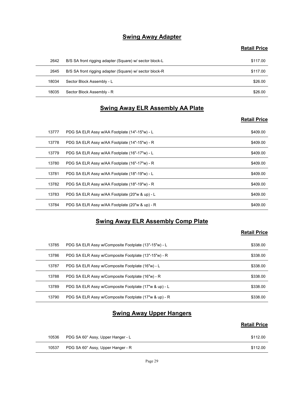#### **Swing Away Adapter**

#### Retail Price

|       | <b>Swing Away Adapter</b>                               |                     |
|-------|---------------------------------------------------------|---------------------|
|       |                                                         | <b>Retail Price</b> |
| 2642  | B/S SA front rigging adapter (Square) w/ sector block-L | \$117.00            |
| 2645  | B/S SA front rigging adapter (Square) w/ sector block-R | \$117.00            |
| 18034 | Sector Block Assembly - L                               | \$26.00             |
| 18035 | Sector Block Assembly - R                               | \$26.00             |
|       | <b>Swing Away ELR Assembly AA Plate</b>                 |                     |
|       |                                                         | <b>Retail Price</b> |
| 13777 | PDG SA ELR Assy w/AA Footplate (14"-15"w) - L           | \$409.00            |
| 13778 | PDG SA ELR Assy w/AA Footplate (14"-15"w) - R           | \$409.00            |
| 13779 | PDG SA ELR Assy w/AA Footplate (16"-17"w) - L           | \$409.00            |
| 13780 | PDG SA FLR Assy $w/4A$ Footplate $(16" - 17"w) - R$     | \$409,00            |

#### Swing Away ELR Assembly AA Plate

#### Retail Price

|       | <b>Swing Away Adapter</b>                               |                     |
|-------|---------------------------------------------------------|---------------------|
|       |                                                         | <b>Retail Price</b> |
| 2642  | B/S SA front rigging adapter (Square) w/ sector block-L | \$117.00            |
| 2645  | B/S SA front rigging adapter (Square) w/ sector block-R | \$117.00            |
| 18034 | Sector Block Assembly - L                               | \$26.00             |
| 18035 | Sector Block Assembly - R                               | \$26.00             |
|       | <b>Swing Away ELR Assembly AA Plate</b>                 |                     |
|       |                                                         | <b>Retail Price</b> |
| 13777 | PDG SA ELR Assy w/AA Footplate (14"-15"w) - L           | \$409.00            |
| 13778 | PDG SA ELR Assy w/AA Footplate (14"-15"w) - R           | \$409.00            |
| 13779 | PDG SA ELR Assy w/AA Footplate (16"-17"w) - L           | \$409.00            |
| 13780 | PDG SA ELR Assy w/AA Footplate (16"-17"w) - R           | \$409.00            |
| 13781 | PDG SA ELR Assy w/AA Footplate (18"-19"w) - L           | \$409.00            |
| 13782 | PDG SA ELR Assy w/AA Footplate (18"-19"w) - R           | \$409.00            |
| 13783 | PDG SA ELR Assy w/AA Footplate (20"w & up) - L          | \$409.00            |
| 13784 | PDG SA ELR Assy w/AA Footplate (20"w & up) - R          | \$409.00            |
|       | <b>Swing Away ELR Assembly Comp Plate</b>               |                     |
|       |                                                         | <b>Retail Price</b> |
| 13785 | PDG SA ELR Assy w/Composite Footplate (13"-15"w) - L    | \$338.00            |
| 13786 | PDG SA ELR Assy w/Composite Footplate (13"-15"w) - R    | \$338.00            |
| 13787 | PDG SA ELR Assy w/Composite Footplate (16"w) - L        | \$338.00            |
| 13788 | PDG SA ELR Assy w/Composite Footplate (16"w) - R        | \$338.00            |
| 13789 | PDG SA ELR Assy w/Composite Footplate (17"w & up) - L   | \$338.00            |
| 13790 | PDG SA ELR Assy w/Composite Footplate (17"w & up) - R   | \$338.00            |

#### Swing Away ELR Assembly Comp Plate

#### Retail Price

| 13780 | PDG SA ELR Assy w/AA Footplate (16"-17"w) - R         | \$409.00            |
|-------|-------------------------------------------------------|---------------------|
| 13781 | PDG SA ELR Assy w/AA Footplate (18"-19"w) - L         | \$409.00            |
| 13782 | PDG SA ELR Assy w/AA Footplate (18"-19"w) - R         | \$409.00            |
| 13783 | PDG SA ELR Assy w/AA Footplate (20"w & up) - L        | \$409.00            |
| 13784 | PDG SA ELR Assy w/AA Footplate (20"w & up) - R        | \$409.00            |
|       | <b>Swing Away ELR Assembly Comp Plate</b>             |                     |
|       |                                                       | <b>Retail Price</b> |
| 13785 | PDG SA ELR Assy w/Composite Footplate (13"-15"w) - L  | \$338.00            |
| 13786 | PDG SA ELR Assy w/Composite Footplate (13"-15"w) - R  | \$338.00            |
| 13787 | PDG SA ELR Assy w/Composite Footplate (16"w) - L      | \$338.00            |
| 13788 | PDG SA ELR Assy w/Composite Footplate (16"w) - R      | \$338.00            |
| 13789 | PDG SA ELR Assy w/Composite Footplate (17"w & up) - L | \$338.00            |
| 13790 | PDG SA ELR Assy w/Composite Footplate (17"w & up) - R | \$338.00            |
|       | <b>Swing Away Upper Hangers</b>                       |                     |
|       |                                                       | <b>Retail Price</b> |
|       |                                                       | \$112.00            |
| 10536 | PDG SA 60° Assy, Upper Hanger - L                     |                     |

#### **Swing Away Upper Hangers**

| 10536 | PDG SA 60° Assy, Upper Hanger - L | \$112.00 |
|-------|-----------------------------------|----------|
| 10537 | PDG SA 60° Assy, Upper Hanger - R | \$112.00 |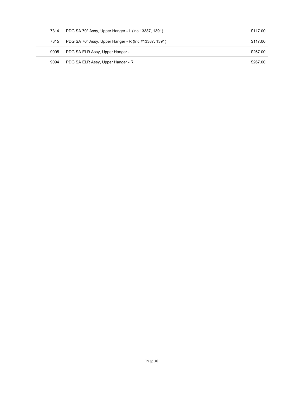| 7314 | PDG SA 70° Assy, Upper Hanger - L (inc 13387, 1391)  | \$117.00 |  |
|------|------------------------------------------------------|----------|--|
| 7315 | PDG SA 70° Assy, Upper Hanger - R (Inc #13387, 1391) | \$117.00 |  |
| 9095 | PDG SA ELR Assy, Upper Hanger - L                    | \$267.00 |  |